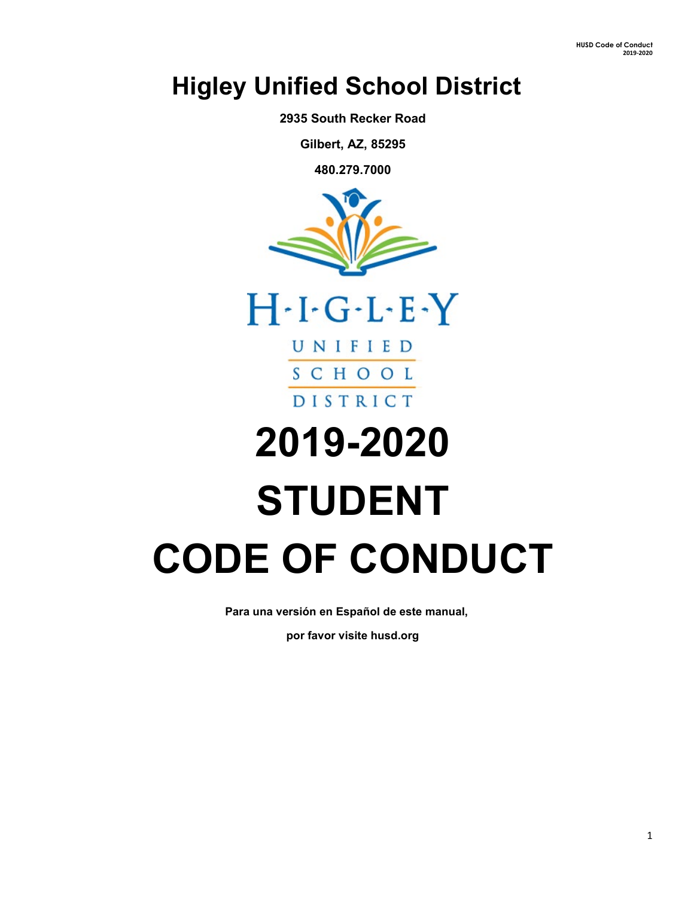## **Higley Unified School District**

**2935 South Recker Road**

**Gilbert, AZ, 85295**

**480.279.7000**





# **2019-2020 STUDENT CODE OF CONDUCT**

**Para una versión en Español de este manual,** 

**por favor visite husd.org**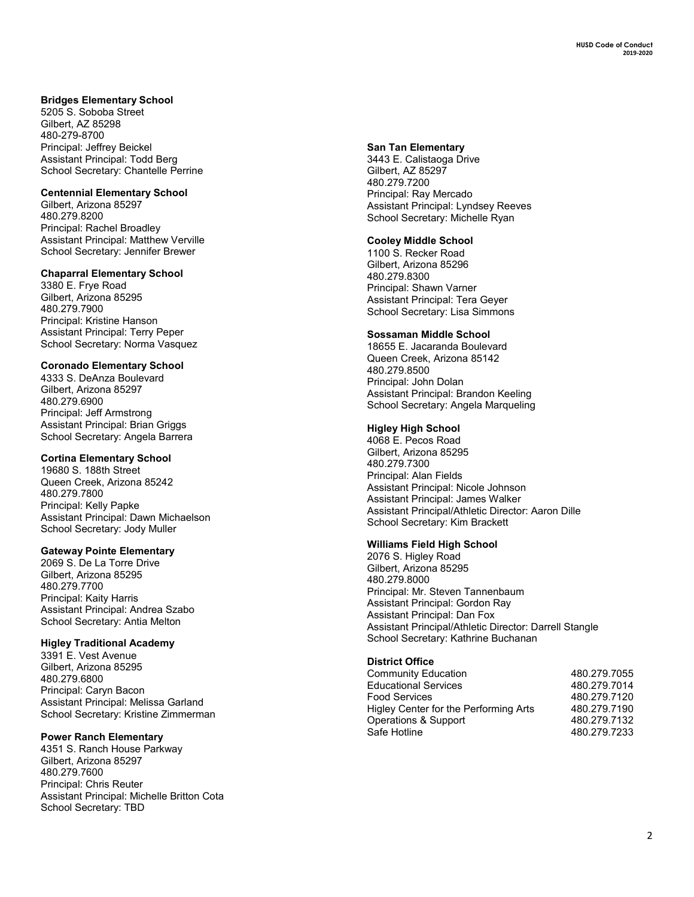### **Bridges Elementary School**

5205 S. Soboba Street Gilbert, AZ 85298 480 -279 -8700 Principal: Jeffrey Beickel Assistant Principal: Todd Berg School Secretary: Chantelle Perrine

#### **Centennial Elementary School**

Gilbert, Arizona 85297 480.279.8200 Principal: Rachel Broadley Assistant Principal: Matthew Verville School Secretary: Jennifer Brewer

#### **Chaparral Elementary School**

3380 E. Frye Road Gilbert, Arizona 85295 480.279.7900 Principal: Kristine Hanson Assistant Principal: Terry Peper School Secretary: Norma Vasquez

#### **Coronado Elementary School**

4333 S. DeAnza Boulevard Gilbert, Arizona 85297 480.279.6900 Principal: Jeff Armstrong Assistant Principal: Brian Griggs School Secretary: Angela Barrera

#### **Cortina Elementary School**

19680 S. 188th Street Queen Creek, Arizona 85242 480.279.7800 Principal: Kelly Papke Assistant Principal: Dawn Michaelson School Secretary: Jody Muller

#### **Gateway Pointe Elementary**

2069 S. De La Torre Drive Gilbert, Arizona 85295 480.279.7700 Principal: Kaity Harris Assistant Principal: Andrea Szabo School Secretary: Antia Melton

#### **Higley Traditional Academy**

3391 E. Vest Avenue Gilbert, Arizona 85295 480.279.6800 Principal: Caryn Bacon Assistant Principal: Melissa Garland School Secretary: Kristine Zimmerman

#### **Power Ranch Elementary**

4351 S. Ranch House Parkway Gilbert, Arizona 85297 480.279.7600 Principal: Chris Reuter Assistant Principal: Michelle Britton Cota School Secretary: TBD

#### **San Tan Elementary**

3443 E. Calistaoga Drive Gilbert, AZ 85297 480.279.7200 Principal: Ray Mercado Assistant Principal: Lyndsey Reeves School Secretary: Michelle Ryan

#### **Cooley Middle School**

1100 S. Recker Road Gilbert, Arizona 85296 480.279.8300 Principal: Shawn Varner Assistant Principal: Tera Geyer School Secretary: Lisa Simmons

#### **Sossaman Middle School**

18655 E. Jacaranda Boulevard Queen Creek, Arizona 85142 480.279.8500 Principal: John Dolan Assistant Principal: Brandon Keeling School Secretary: Angela Marqueling

#### **Higley High School**

4068 E. Pecos Road Gilbert, Arizona 85295 480.279.7300 Principal: Alan Fields Assistant Principal: Nicole Johnson Assistant Principal: James Walker Assistant Principal/Athletic Director: Aaron Dille School Secretary: Kim Brackett

#### **Williams Field High School**

2076 S. Higley Road Gilbert, Arizona 85295 480.279.8000 Principal: Mr. Steven Tannenbaum Assistant Principal: Gordon Ray Assistant Principal: Dan Fox Assistant Principal/Athletic Director: Darrell Stangle School Secretary: Kathrine Buchanan

#### **District Office**

| Community Education                   | 480.279.7055 |
|---------------------------------------|--------------|
| <b>Educational Services</b>           | 480.279.7014 |
| Food Services                         | 480.279.7120 |
| Higley Center for the Performing Arts | 480.279.7190 |
| Operations & Support                  | 480.279.7132 |
| Safe Hotline                          | 480.279.7233 |
|                                       |              |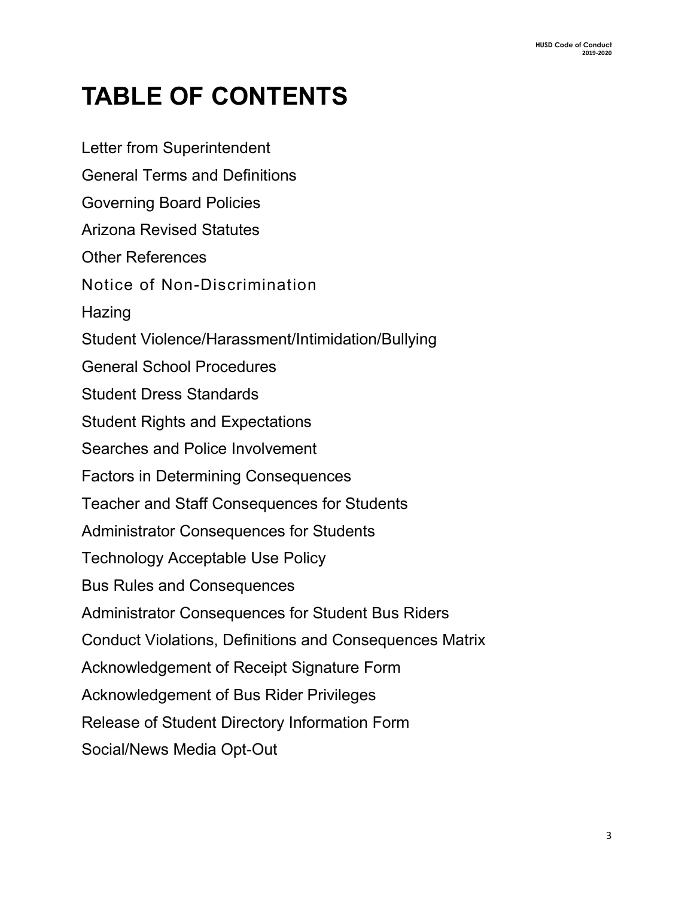# **TABLE OF CONTENTS**

Letter from Superintendent General Terms and Definitions Governing Board Policies Arizona Revised Statutes Other References Notice of Non-Discrimination Hazing Student Violence/Harassment/Intimidation/Bullying General School Procedures Student Dress Standards Student Rights and Expectations Searches and Police Involvement Factors in Determining Consequences Teacher and Staff Consequences for Students Administrator Consequences for Students Technology Acceptable Use Policy Bus Rules and Consequences Administrator Consequences for Student Bus Riders Conduct Violations, Definitions and Consequences Matrix Acknowledgement of Receipt Signature Form Acknowledgement of Bus Rider Privileges Release of Student Directory Information Form Social/News Media Opt-Out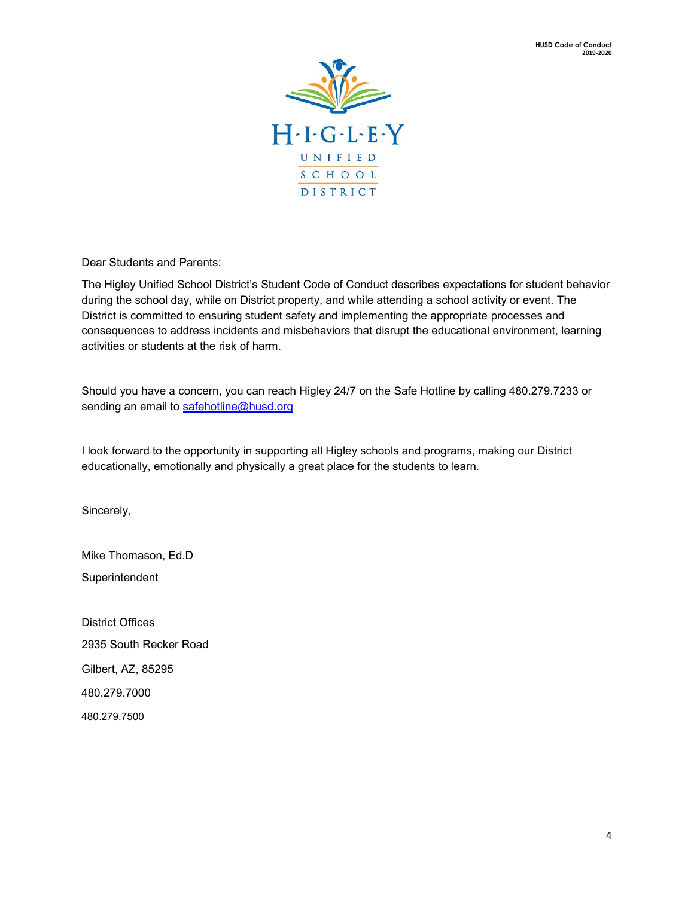

Dear Students and Parents:

The Higley Unified School District's Student Code of Conduct describes expectations for student behavior during the school day, while on District property, and while attending a school activity or event. The District is committed to ensuring student safety and implementing the appropriate processes and consequences to address incidents and misbehaviors that disrupt the educational environment, learning activities or students at the risk of harm.

Should you have a concern, you can reach Higley 24/7 on the Safe Hotline by calling 480.279.7233 or sending an email to [safehotline@husd.org](mailto:safehotline@husd.org)

I look forward to the opportunity in supporting all Higley schools and programs, making our District educationally, emotionally and physically a great place for the students to learn.

Sincerely,

Mike Thomason, Ed.D Superintendent

District Offices 2935 South Recker Road Gilbert, AZ, 85295 480.279.7000 480.279.7500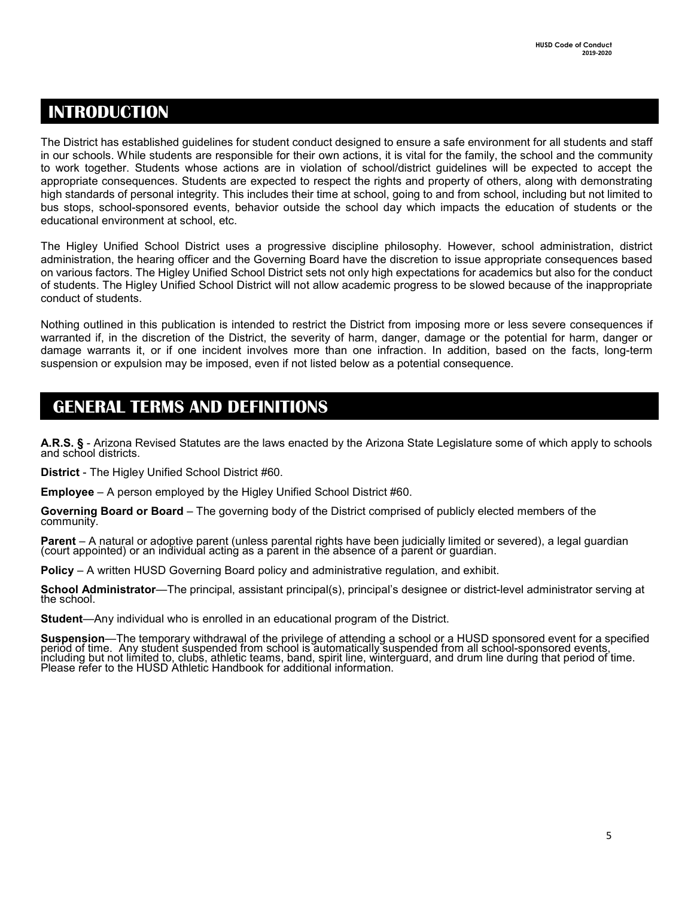### **INTRODUCTION**

The District has established guidelines for student conduct designed to ensure a safe environment for all students and staff in our schools. While students are responsible for their own actions, it is vital for the family, the school and the community to work together. Students whose actions are in violation of school/district guidelines will be expected to accept the appropriate consequences. Students are expected to respect the rights and property of others, along with demonstrating high standards of personal integrity. This includes their time at school, going to and from school, including but not limited to bus stops, school-sponsored events, behavior outside the school day which impacts the education of students or the educational environment at school, etc.

The Higley Unified School District uses a progressive discipline philosophy. However, school administration, district administration, the hearing officer and the Governing Board have the discretion to issue appropriate consequences based on various factors. The Higley Unified School District sets not only high expectations for academics but also for the conduct of students. The Higley Unified School District will not allow academic progress to be slowed because of the inappropriate conduct of students.

Nothing outlined in this publication is intended to restrict the District from imposing more or less severe consequences if warranted if, in the discretion of the District, the severity of harm, danger, damage or the potential for harm, danger or damage warrants it, or if one incident involves more than one infraction. In addition, based on the facts, long-term suspension or expulsion may be imposed, even if not listed below as a potential consequence.

### NTRODUCTION **GENERAL TERMS AND DEFINITIONS**

A.R.S. § - Arizona Revised Statutes are the laws enacted by the Arizona State Legislature some of which apply to schools<br>and school districts.

**District** - The Higley Unified School District #60.

**Employee** – A person employed by the Higley Unified School District #60.

**Governing Board or Board** – The governing body of the District comprised of publicly elected members of the community.

**Parent** – A natural or adoptive parent (unless parental rights have been judicially limited or severed), a legal guardian<br>(court appointed) or an individual acting as a parent in the absence of a parent or guardian.

**Policy** – A written HUSD Governing Board policy and administrative regulation, and exhibit.

**School Administrator**—The principal, assistant principal(s), principal's designee or district-level administrator serving at the school.

**Student**—Any individual who is enrolled in an educational program of the District.

Suspension—The temporary withdrawal of the privilege of attending a school or a HUSD sponsored event for a specified<br>period of time. Any student suspended from school is automatically suspended from all school-sponsored ev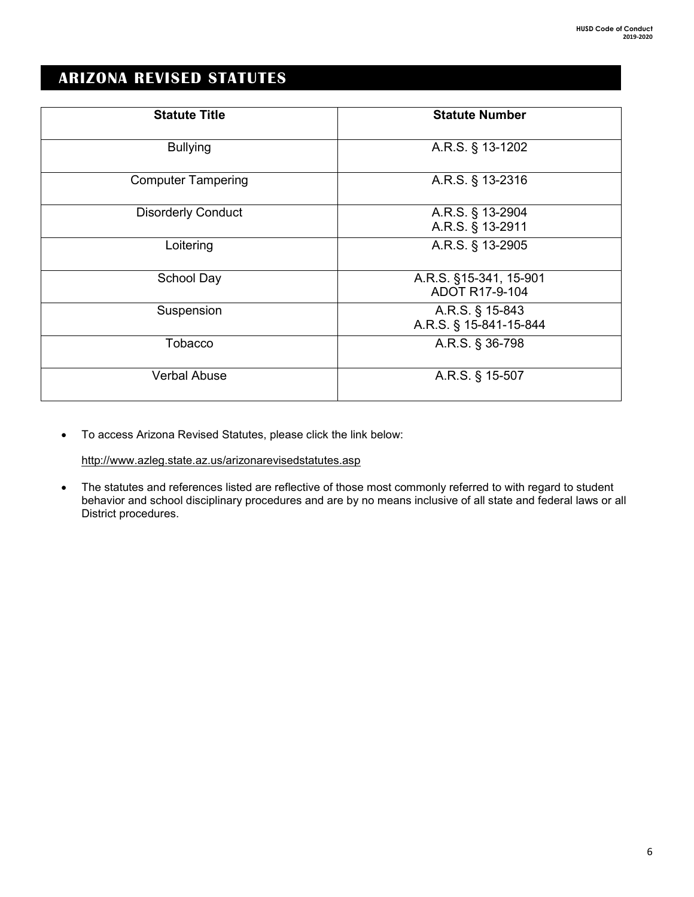### **ARIZONA REVISED STATUTES**

| <b>Statute Title</b>      | <b>Statute Number</b>                     |
|---------------------------|-------------------------------------------|
| <b>Bullying</b>           | A.R.S. § 13-1202                          |
| <b>Computer Tampering</b> | A.R.S. § 13-2316                          |
| <b>Disorderly Conduct</b> | A.R.S. § 13-2904<br>A.R.S. § 13-2911      |
| Loitering                 | A.R.S. § 13-2905                          |
| School Day                | A.R.S. §15-341, 15-901<br>ADOT R17-9-104  |
| Suspension                | A.R.S. § 15-843<br>A.R.S. § 15-841-15-844 |
| Tobacco                   | A.R.S. § 36-798                           |
| <b>Verbal Abuse</b>       | A.R.S. § 15-507                           |

• To access Arizona Revised Statutes, please click the link below:

http://www.azleg.state.az.us/arizonarevisedstatutes.asp

• The statutes and references listed are reflective of those most commonly referred to with regard to student behavior and school disciplinary procedures and are by no means inclusive of all state and federal laws or all District procedures.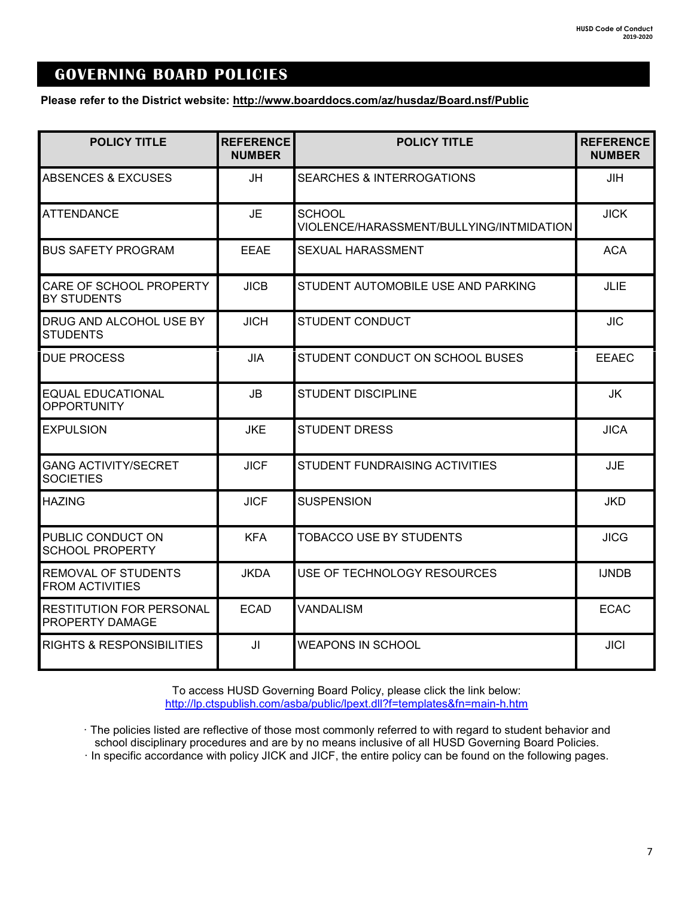### **GOVERNING BOARD POLICIES**

**Please refer to the District website: http://www.boarddocs.com/az/husdaz/Board.nsf/Public**

| <b>POLICY TITLE</b>                                  | <b>REFERENCE</b><br><b>NUMBER</b> | <b>POLICY TITLE</b>                                       | <b>REFERENCE</b><br><b>NUMBER</b> |
|------------------------------------------------------|-----------------------------------|-----------------------------------------------------------|-----------------------------------|
| ABSENCES & EXCUSES                                   | <b>JH</b>                         | <b>SEARCHES &amp; INTERROGATIONS</b>                      | JIH                               |
| <b>ATTENDANCE</b>                                    | <b>JE</b>                         | <b>SCHOOL</b><br>VIOLENCE/HARASSMENT/BULLYING/INTMIDATION | <b>JICK</b>                       |
| <b>BUS SAFETY PROGRAM</b>                            | <b>EEAE</b>                       | SEXUAL HARASSMENT                                         | <b>ACA</b>                        |
| CARE OF SCHOOL PROPERTY<br><b>BY STUDENTS</b>        | <b>JICB</b>                       | STUDENT AUTOMOBILE USE AND PARKING                        | JLIE                              |
| DRUG AND ALCOHOL USE BY<br><b>STUDENTS</b>           | <b>JICH</b>                       | <b>STUDENT CONDUCT</b>                                    | <b>JIC</b>                        |
| <b>DUE PROCESS</b>                                   | <b>JIA</b>                        | STUDENT CONDUCT ON SCHOOL BUSES                           | <b>EEAEC</b>                      |
| <b>EQUAL EDUCATIONAL</b><br><b>OPPORTUNITY</b>       | <b>JB</b>                         | <b>STUDENT DISCIPLINE</b>                                 | JK                                |
| <b>EXPULSION</b>                                     | <b>JKE</b>                        | <b>STUDENT DRESS</b>                                      | <b>JICA</b>                       |
| <b>GANG ACTIVITY/SECRET</b><br><b>SOCIETIES</b>      | <b>JICF</b>                       | <b>STUDENT FUNDRAISING ACTIVITIES</b>                     | <b>JJE</b>                        |
| <b>HAZING</b>                                        | <b>JICF</b>                       | <b>SUSPENSION</b>                                         | <b>JKD</b>                        |
| PUBLIC CONDUCT ON<br><b>SCHOOL PROPERTY</b>          | <b>KFA</b>                        | <b>TOBACCO USE BY STUDENTS</b>                            | <b>JICG</b>                       |
| <b>REMOVAL OF STUDENTS</b><br><b>FROM ACTIVITIES</b> | <b>JKDA</b>                       | USE OF TECHNOLOGY RESOURCES                               | <b>IJNDB</b>                      |
| <b>RESTITUTION FOR PERSONAL</b><br>PROPERTY DAMAGE   | <b>ECAD</b>                       | <b>VANDALISM</b>                                          | <b>ECAC</b>                       |
| <b>RIGHTS &amp; RESPONSIBILITIES</b>                 | JI                                | WEAPONS IN SCHOOL                                         | <b>JICI</b>                       |

To access HUSD Governing Board Policy, please click the link below: <http://lp.ctspublish.com/asba/public/lpext.dll?f=templates&fn=main-h.htm>

· The policies listed are reflective of those most commonly referred to with regard to student behavior and school disciplinary procedures and are by no means inclusive of all HUSD Governing Board Policies.

· In specific accordance with policy JICK and JICF, the entire policy can be found on the following pages.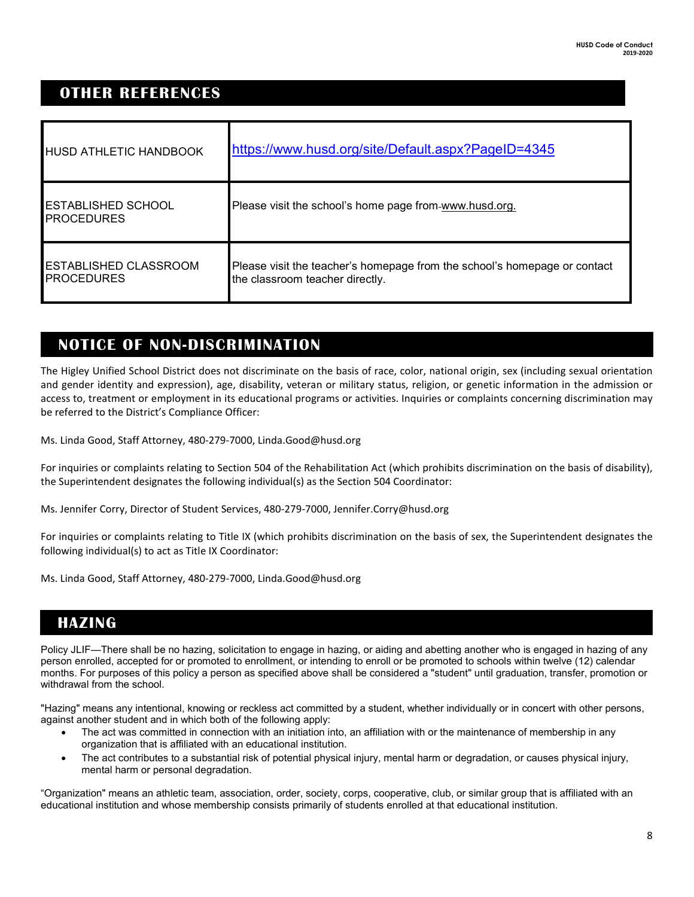### **OTHER REFERENCES**

| <b>HUSD ATHLETIC HANDBOOK</b>                     | https://www.husd.org/site/Default.aspx?PageID=4345                                                           |
|---------------------------------------------------|--------------------------------------------------------------------------------------------------------------|
| <b>ESTABLISHED SCHOOL</b><br><b>PROCEDURES</b>    | Please visit the school's home page from-www.husd.org.                                                       |
| <b>ESTABLISHED CLASSROOM</b><br><b>PROCEDURES</b> | Please visit the teacher's homepage from the school's homepage or contact<br>the classroom teacher directly. |

### **Notice of Non-Discrimination NOTICE OF NON-DISCRIMINATION**

The Higley Unified School District does not discriminate on the basis of race, color, national origin, sex (including sexual orientation and gender identity and expression), age, disability, veteran or military status, religion, or genetic information in the admission or access to, treatment or employment in its educational programs or activities. Inquiries or complaints concerning discrimination may be referred to the District's Compliance Officer:

Ms. Linda Good, Staff Attorney, 480-279-7000, Linda.Good@husd.org

For inquiries or complaints relating to Section 504 of the Rehabilitation Act (which prohibits discrimination on the basis of disability), the Superintendent designates the following individual(s) as the Section 504 Coordinator:

Ms. Jennifer Corry, Director of Student Services, 480-279-7000, Jennifer.Corry@husd.org

For inquiries or complaints relating to Title IX (which prohibits discrimination on the basis of sex, the Superintendent designates the following individual(s) to act as Title IX Coordinator:

Ms. Linda Good, Staff Attorney, 480-279-7000, Linda.Good@husd.org

### **HAZING**

Policy JLIF—There shall be no hazing, solicitation to engage in hazing, or aiding and abetting another who is engaged in hazing of any person enrolled, accepted for or promoted to enrollment, or intending to enroll or be promoted to schools within twelve (12) calendar months. For purposes of this policy a person as specified above shall be considered a "student" until graduation, transfer, promotion or withdrawal from the school.

"Hazing" means any intentional, knowing or reckless act committed by a student, whether individually or in concert with other persons, against another student and in which both of the following apply:

- The act was committed in connection with an initiation into, an affiliation with or the maintenance of membership in any organization that is affiliated with an educational institution.
- The act contributes to a substantial risk of potential physical injury, mental harm or degradation, or causes physical injury, mental harm or personal degradation.

"Organization" means an athletic team, association, order, society, corps, cooperative, club, or similar group that is affiliated with an educational institution and whose membership consists primarily of students enrolled at that educational institution.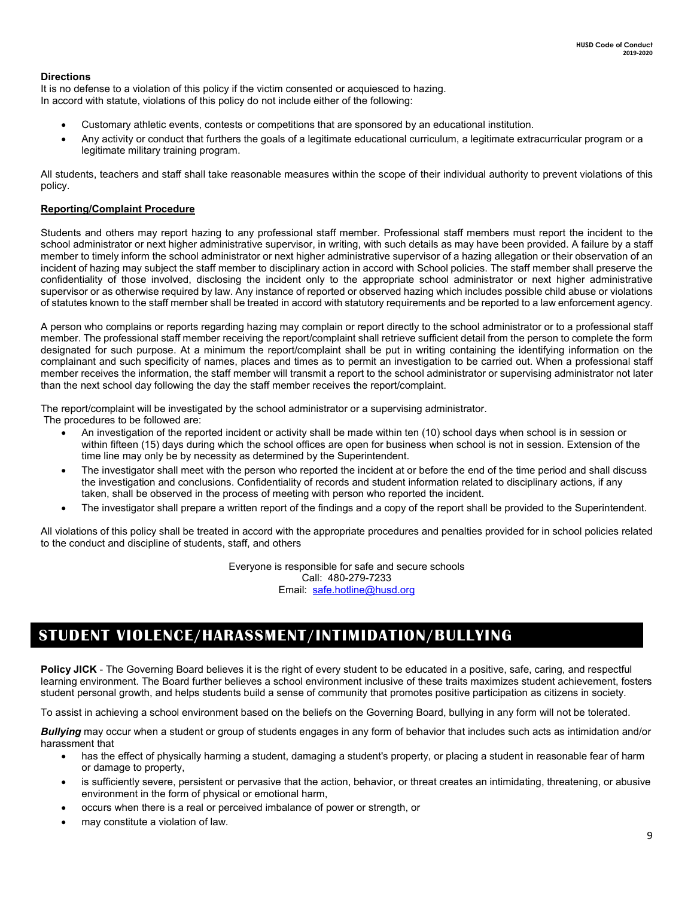### **Directions**

It is no defense to a violation of this policy if the victim consented or acquiesced to hazing. In accord with statute, violations of this policy do not include either of the following:

- Customary athletic events, contests or competitions that are sponsored by an educational institution.
- Any activity or conduct that furthers the goals of a legitimate educational curriculum, a legitimate extracurricular program or a legitimate military training program.

All students, teachers and staff shall take reasonable measures within the scope of their individual authority to prevent violations of this policy.

### **Reporting/Complaint Procedure**

Students and others may report hazing to any professional staff member. Professional staff members must report the incident to the school administrator or next higher administrative supervisor, in writing, with such details as may have been provided. A failure by a staff member to timely inform the school administrator or next higher administrative supervisor of a hazing allegation or their observation of an incident of hazing may subject the staff member to disciplinary action in accord with School policies. The staff member shall preserve the confidentiality of those involved, disclosing the incident only to the appropriate school administrator or next higher administrative supervisor or as otherwise required by law. Any instance of reported or observed hazing which includes possible child abuse or violations of statutes known to the staff member shall be treated in accord with statutory requirements and be reported to a law enforcement agency.

A person who complains or reports regarding hazing may complain or report directly to the school administrator or to a professional staff member. The professional staff member receiving the report/complaint shall retrieve sufficient detail from the person to complete the form designated for such purpose. At a minimum the report/complaint shall be put in writing containing the identifying information on the complainant and such specificity of names, places and times as to permit an investigation to be carried out. When a professional staff member receives the information, the staff member will transmit a report to the school administrator or supervising administrator not later than the next school day following the day the staff member receives the report/complaint.

The report/complaint will be investigated by the school administrator or a supervising administrator.

The procedures to be followed are:

- An investigation of the reported incident or activity shall be made within ten (10) school days when school is in session or within fifteen (15) days during which the school offices are open for business when school is not in session. Extension of the time line may only be by necessity as determined by the Superintendent.
- The investigator shall meet with the person who reported the incident at or before the end of the time period and shall discuss the investigation and conclusions. Confidentiality of records and student information related to disciplinary actions, if any taken, shall be observed in the process of meeting with person who reported the incident.
- The investigator shall prepare a written report of the findings and a copy of the report shall be provided to the Superintendent.

All violations of this policy shall be treated in accord with the appropriate procedures and penalties provided for in school policies related to the conduct and discipline of students, staff, and others

> Everyone is responsible for safe and secure schools Call: 480-279-7233 Email: [safe.hotline@husd.org](mailto:safe.hotline@husd.org)

### **STUDENT VIOLENCE/HARASSMENT/INTIMIDATION/BULLYING**

**Policy JICK** - The Governing Board believes it is the right of every student to be educated in a positive, safe, caring, and respectful learning environment. The Board further believes a school environment inclusive of these traits maximizes student achievement, fosters student personal growth, and helps students build a sense of community that promotes positive participation as citizens in society.

To assist in achieving a school environment based on the beliefs on the Governing Board, bullying in any form will not be tolerated.

*Bullying* may occur when a student or group of students engages in any form of behavior that includes such acts as intimidation and/or harassment that

- has the effect of physically harming a student, damaging a student's property, or placing a student in reasonable fear of harm or damage to property,
- is sufficiently severe, persistent or pervasive that the action, behavior, or threat creates an intimidating, threatening, or abusive environment in the form of physical or emotional harm,
- occurs when there is a real or perceived imbalance of power or strength, or
- may constitute a violation of law.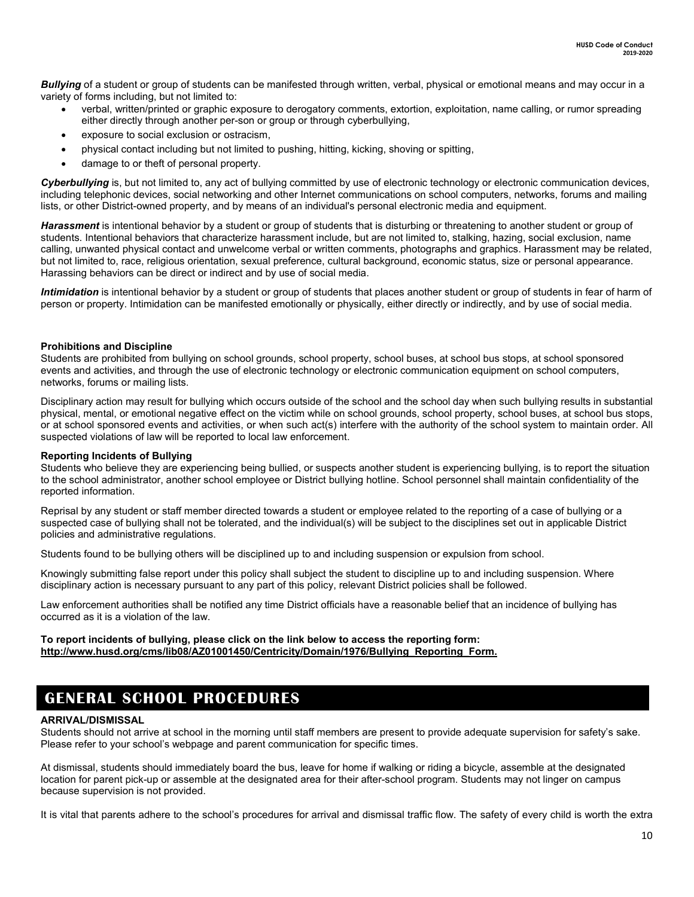*Bullying* of a student or group of students can be manifested through written, verbal, physical or emotional means and may occur in a variety of forms including, but not limited to:

- verbal, written/printed or graphic exposure to derogatory comments, extortion, exploitation, name calling, or rumor spreading either directly through another per-son or group or through cyberbullying,
- exposure to social exclusion or ostracism.
- physical contact including but not limited to pushing, hitting, kicking, shoving or spitting,
- damage to or theft of personal property.

Cyberbullying is, but not limited to, any act of bullying committed by use of electronic technology or electronic communication devices, including telephonic devices, social networking and other Internet communications on school computers, networks, forums and mailing lists, or other District-owned property, and by means of an individual's personal electronic media and equipment.

Harassment is intentional behavior by a student or group of students that is disturbing or threatening to another student or group of students. Intentional behaviors that characterize harassment include, but are not limited to, stalking, hazing, social exclusion, name calling, unwanted physical contact and unwelcome verbal or written comments, photographs and graphics. Harassment may be related, but not limited to, race, religious orientation, sexual preference, cultural background, economic status, size or personal appearance. Harassing behaviors can be direct or indirect and by use of social media.

*Intimidation* is intentional behavior by a student or group of students that places another student or group of students in fear of harm of person or property. Intimidation can be manifested emotionally or physically, either directly or indirectly, and by use of social media.

#### **Prohibitions and Discipline**

Students are prohibited from bullying on school grounds, school property, school buses, at school bus stops, at school sponsored events and activities, and through the use of electronic technology or electronic communication equipment on school computers, networks, forums or mailing lists.

Disciplinary action may result for bullying which occurs outside of the school and the school day when such bullying results in substantial physical, mental, or emotional negative effect on the victim while on school grounds, school property, school buses, at school bus stops, or at school sponsored events and activities, or when such act(s) interfere with the authority of the school system to maintain order. All suspected violations of law will be reported to local law enforcement.

#### **Reporting Incidents of Bullying**

Students who believe they are experiencing being bullied, or suspects another student is experiencing bullying, is to report the situation to the school administrator, another school employee or District bullying hotline. School personnel shall maintain confidentiality of the reported information.

Reprisal by any student or staff member directed towards a student or employee related to the reporting of a case of bullying or a suspected case of bullying shall not be tolerated, and the individual(s) will be subject to the disciplines set out in applicable District policies and administrative regulations.

Students found to be bullying others will be disciplined up to and including suspension or expulsion from school.

Knowingly submitting false report under this policy shall subject the student to discipline up to and including suspension. Where disciplinary action is necessary pursuant to any part of this policy, relevant District policies shall be followed.

Law enforcement authorities shall be notified any time District officials have a reasonable belief that an incidence of bullying has occurred as it is a violation of the law.

#### **To report incidents of bullying, please click on the link below to access the reporting form: http://www.husd.org/cms/lib08/AZ01001450/Centricity/Domain/1976/Bullying\_Reporting\_Form.**

### **GENERAL SCHOOL PROCEDURES**

#### **ARRIVAL/DISMISSAL**

Students should not arrive at school in the morning until staff members are present to provide adequate supervision for safety's sake. Please refer to your school's webpage and parent communication for specific times.

At dismissal, students should immediately board the bus, leave for home if walking or riding a bicycle, assemble at the designated location for parent pick-up or assemble at the designated area for their after-school program. Students may not linger on campus because supervision is not provided.

It is vital that parents adhere to the school's procedures for arrival and dismissal traffic flow. The safety of every child is worth the extra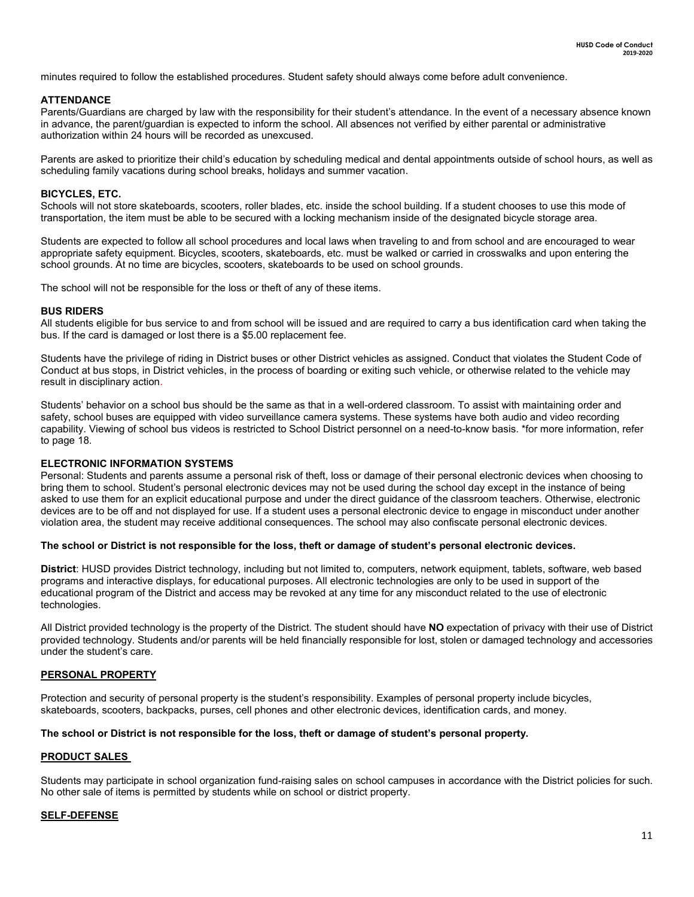minutes required to follow the established procedures. Student safety should always come before adult convenience.

#### **ATTENDANCE**

Parents/Guardians are charged by law with the responsibility for their student's attendance. In the event of a necessary absence known in advance, the parent/guardian is expected to inform the school. All absences not verified by either parental or administrative authorization within 24 hours will be recorded as unexcused.

Parents are asked to prioritize their child's education by scheduling medical and dental appointments outside of school hours, as well as scheduling family vacations during school breaks, holidays and summer vacation.

#### **BICYCLES, ETC.**

Schools will not store skateboards, scooters, roller blades, etc. inside the school building. If a student chooses to use this mode of transportation, the item must be able to be secured with a locking mechanism inside of the designated bicycle storage area.

Students are expected to follow all school procedures and local laws when traveling to and from school and are encouraged to wear appropriate safety equipment. Bicycles, scooters, skateboards, etc. must be walked or carried in crosswalks and upon entering the school grounds. At no time are bicycles, scooters, skateboards to be used on school grounds.

The school will not be responsible for the loss or theft of any of these items.

#### **BUS RIDERS**

All students eligible for bus service to and from school will be issued and are required to carry a bus identification card when taking the bus. If the card is damaged or lost there is a \$5.00 replacement fee.

Students have the privilege of riding in District buses or other District vehicles as assigned. Conduct that violates the Student Code of Conduct at bus stops, in District vehicles, in the process of boarding or exiting such vehicle, or otherwise related to the vehicle may result in disciplinary action.

Students' behavior on a school bus should be the same as that in a well-ordered classroom. To assist with maintaining order and safety, school buses are equipped with video surveillance camera systems. These systems have both audio and video recording capability. Viewing of school bus videos is restricted to School District personnel on a need-to-know basis. \*for more information, refer to page 18.

#### **ELECTRONIC INFORMATION SYSTEMS**

Personal: Students and parents assume a personal risk of theft, loss or damage of their personal electronic devices when choosing to bring them to school. Student's personal electronic devices may not be used during the school day except in the instance of being asked to use them for an explicit educational purpose and under the direct guidance of the classroom teachers. Otherwise, electronic devices are to be off and not displayed for use. If a student uses a personal electronic device to engage in misconduct under another violation area, the student may receive additional consequences. The school may also confiscate personal electronic devices.

#### **The school or District is not responsible for the loss, theft or damage of student's personal electronic devices.**

**District**: HUSD provides District technology, including but not limited to, computers, network equipment, tablets, software, web based programs and interactive displays, for educational purposes. All electronic technologies are only to be used in support of the educational program of the District and access may be revoked at any time for any misconduct related to the use of electronic technologies.

All District provided technology is the property of the District. The student should have **NO** expectation of privacy with their use of District provided technology. Students and/or parents will be held financially responsible for lost, stolen or damaged technology and accessories under the student's care.

#### **PERSONAL PROPERTY**

Protection and security of personal property is the student's responsibility. Examples of personal property include bicycles, skateboards, scooters, backpacks, purses, cell phones and other electronic devices, identification cards, and money.

#### **The school or District is not responsible for the loss, theft or damage of student's personal property.**

#### **PRODUCT SALES**

Students may participate in school organization fund-raising sales on school campuses in accordance with the District policies for such. No other sale of items is permitted by students while on school or district property.

#### **SELF-DEFENSE**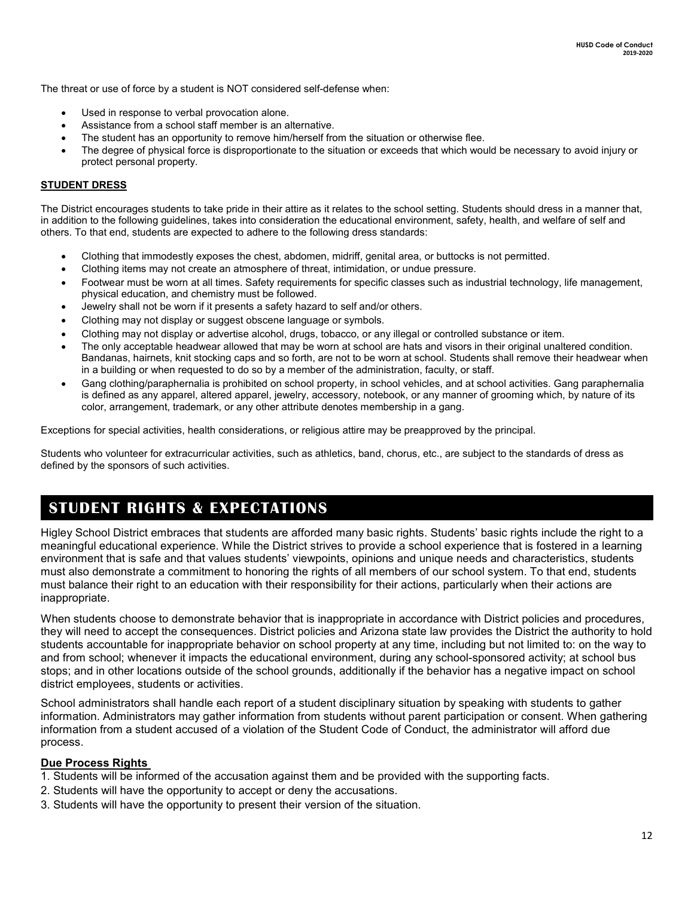The threat or use of force by a student is NOT considered self-defense when:

- Used in response to verbal provocation alone.
- Assistance from a school staff member is an alternative.
- The student has an opportunity to remove him/herself from the situation or otherwise flee.
- The degree of physical force is disproportionate to the situation or exceeds that which would be necessary to avoid injury or protect personal property.

### **STUDENT DRESS**

The District encourages students to take pride in their attire as it relates to the school setting. Students should dress in a manner that, in addition to the following guidelines, takes into consideration the educational environment, safety, health, and welfare of self and others. To that end, students are expected to adhere to the following dress standards:

- Clothing that immodestly exposes the chest, abdomen, midriff, genital area, or buttocks is not permitted.
- Clothing items may not create an atmosphere of threat, intimidation, or undue pressure.
- Footwear must be worn at all times. Safety requirements for specific classes such as industrial technology, life management, physical education, and chemistry must be followed.
- Jewelry shall not be worn if it presents a safety hazard to self and/or others.
- Clothing may not display or suggest obscene language or symbols.
- Clothing may not display or advertise alcohol, drugs, tobacco, or any illegal or controlled substance or item.
- The only acceptable headwear allowed that may be worn at school are hats and visors in their original unaltered condition. Bandanas, hairnets, knit stocking caps and so forth, are not to be worn at school. Students shall remove their headwear when in a building or when requested to do so by a member of the administration, faculty, or staff.
- Gang clothing/paraphernalia is prohibited on school property, in school vehicles, and at school activities. Gang paraphernalia is defined as any apparel, altered apparel, jewelry, accessory, notebook, or any manner of grooming which, by nature of its color, arrangement, trademark, or any other attribute denotes membership in a gang.

Exceptions for special activities, health considerations, or religious attire may be preapproved by the principal.

Students who volunteer for extracurricular activities, such as athletics, band, chorus, etc., are subject to the standards of dress as defined by the sponsors of such activities.

### **STUDENT RIGHTS & EXPECTATIONS**

Higley School District embraces that students are afforded many basic rights. Students' basic rights include the right to a meaningful educational experience. While the District strives to provide a school experience that is fostered in a learning environment that is safe and that values students' viewpoints, opinions and unique needs and characteristics, students must also demonstrate a commitment to honoring the rights of all members of our school system. To that end, students must balance their right to an education with their responsibility for their actions, particularly when their actions are inappropriate.

When students choose to demonstrate behavior that is inappropriate in accordance with District policies and procedures, they will need to accept the consequences. District policies and Arizona state law provides the District the authority to hold students accountable for inappropriate behavior on school property at any time, including but not limited to: on the way to and from school; whenever it impacts the educational environment, during any school-sponsored activity; at school bus stops; and in other locations outside of the school grounds, additionally if the behavior has a negative impact on school district employees, students or activities.

School administrators shall handle each report of a student disciplinary situation by speaking with students to gather information. Administrators may gather information from students without parent participation or consent. When gathering information from a student accused of a violation of the Student Code of Conduct, the administrator will afford due process.

### **Due Process Rights**

- 1. Students will be informed of the accusation against them and be provided with the supporting facts.
- 2. Students will have the opportunity to accept or deny the accusations.
- 3. Students will have the opportunity to present their version of the situation.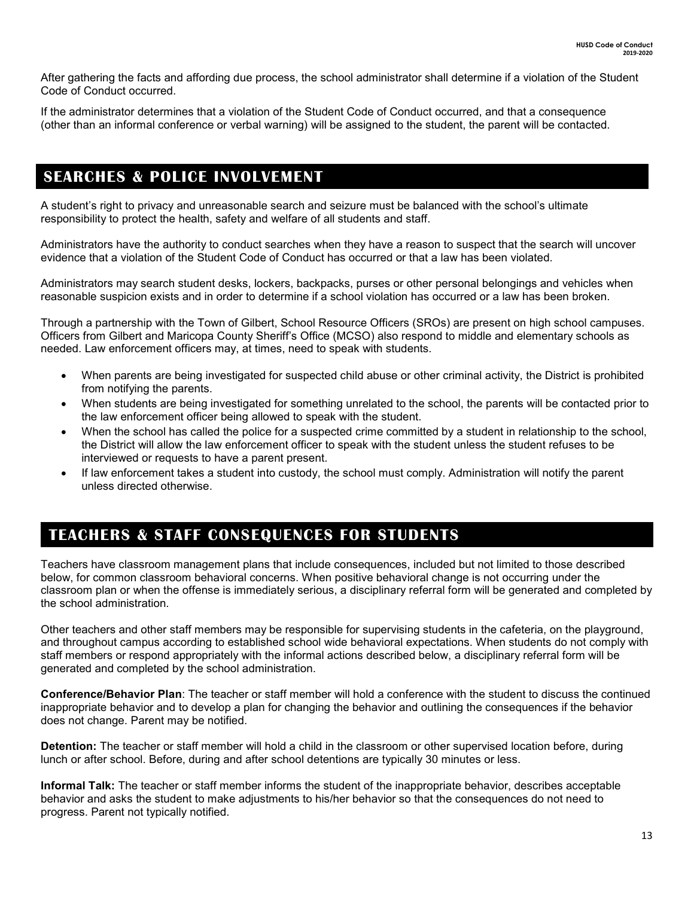After gathering the facts and affording due process, the school administrator shall determine if a violation of the Student Code of Conduct occurred.

If the administrator determines that a violation of the Student Code of Conduct occurred, and that a consequence (other than an informal conference or verbal warning) will be assigned to the student, the parent will be contacted.

### Searches & police involvement **SEARCHES & POLICE INVOLVEMENT**

A student's right to privacy and unreasonable search and seizure must be balanced with the school's ultimate responsibility to protect the health, safety and welfare of all students and staff.

Administrators have the authority to conduct searches when they have a reason to suspect that the search will uncover evidence that a violation of the Student Code of Conduct has occurred or that a law has been violated.

Administrators may search student desks, lockers, backpacks, purses or other personal belongings and vehicles when reasonable suspicion exists and in order to determine if a school violation has occurred or a law has been broken.

Through a partnership with the Town of Gilbert, School Resource Officers (SROs) are present on high school campuses. Officers from Gilbert and Maricopa County Sheriff's Office (MCSO) also respond to middle and elementary schools as needed. Law enforcement officers may, at times, need to speak with students.

- When parents are being investigated for suspected child abuse or other criminal activity, the District is prohibited from notifying the parents.
- When students are being investigated for something unrelated to the school, the parents will be contacted prior to the law enforcement officer being allowed to speak with the student.
- When the school has called the police for a suspected crime committed by a student in relationship to the school, the District will allow the law enforcement officer to speak with the student unless the student refuses to be interviewed or requests to have a parent present.
- If law enforcement takes a student into custody, the school must comply. Administration will notify the parent unless directed otherwise.

### **TEACHERS & STAFF CONSEQUENCES FOR STUDENTS**

Teachers have classroom management plans that include consequences, included but not limited to those described below, for common classroom behavioral concerns. When positive behavioral change is not occurring under the classroom plan or when the offense is immediately serious, a disciplinary referral form will be generated and completed by the school administration.

Other teachers and other staff members may be responsible for supervising students in the cafeteria, on the playground, and throughout campus according to established school wide behavioral expectations. When students do not comply with staff members or respond appropriately with the informal actions described below, a disciplinary referral form will be generated and completed by the school administration.

**Conference/Behavior Plan**: The teacher or staff member will hold a conference with the student to discuss the continued inappropriate behavior and to develop a plan for changing the behavior and outlining the consequences if the behavior does not change. Parent may be notified.

**Detention:** The teacher or staff member will hold a child in the classroom or other supervised location before, during lunch or after school. Before, during and after school detentions are typically 30 minutes or less.

**Informal Talk:** The teacher or staff member informs the student of the inappropriate behavior, describes acceptable behavior and asks the student to make adjustments to his/her behavior so that the consequences do not need to progress. Parent not typically notified.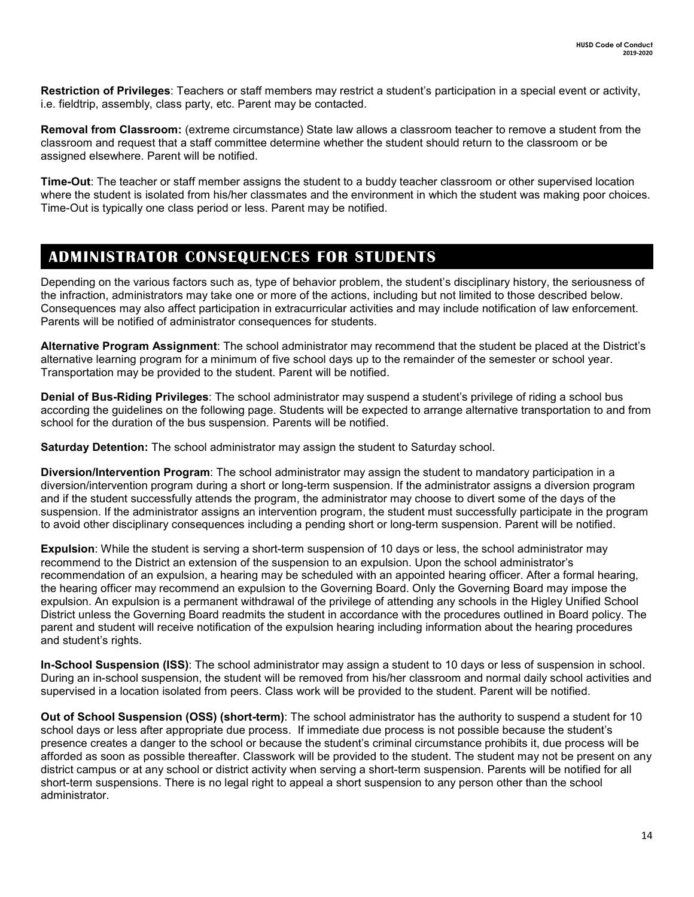**Restriction of Privileges**: Teachers or staff members may restrict a student's participation in a special event or activity, i.e. fieldtrip, assembly, class party, etc. Parent may be contacted.

**Removal from Classroom:** (extreme circumstance) State law allows a classroom teacher to remove a student from the classroom and request that a staff committee determine whether the student should return to the classroom or be assigned elsewhere. Parent will be notified.

**Time-Out**: The teacher or staff member assigns the student to a buddy teacher classroom or other supervised location where the student is isolated from his/her classmates and the environment in which the student was making poor choices. Time-Out is typically one class period or less. Parent may be notified.

### **ADMINISTRATOR CONSEQUENCES FOR STUDENTS**

Depending on the various factors such as, type of behavior problem, the student's disciplinary history, the seriousness of the infraction, administrators may take one or more of the actions, including but not limited to those described below. Consequences may also affect participation in extracurricular activities and may include notification of law enforcement. Parents will be notified of administrator consequences for students.

**Alternative Program Assignment**: The school administrator may recommend that the student be placed at the District's alternative learning program for a minimum of five school days up to the remainder of the semester or school year. Transportation may be provided to the student. Parent will be notified.

**Denial of Bus-Riding Privileges**: The school administrator may suspend a student's privilege of riding a school bus according the guidelines on the following page. Students will be expected to arrange alternative transportation to and from school for the duration of the bus suspension. Parents will be notified.

**Saturday Detention:** The school administrator may assign the student to Saturday school.

**Diversion/Intervention Program**: The school administrator may assign the student to mandatory participation in a diversion/intervention program during a short or long-term suspension. If the administrator assigns a diversion program and if the student successfully attends the program, the administrator may choose to divert some of the days of the suspension. If the administrator assigns an intervention program, the student must successfully participate in the program to avoid other disciplinary consequences including a pending short or long-term suspension. Parent will be notified.

**Expulsion**: While the student is serving a short-term suspension of 10 days or less, the school administrator may recommend to the District an extension of the suspension to an expulsion. Upon the school administrator's recommendation of an expulsion, a hearing may be scheduled with an appointed hearing officer. After a formal hearing, the hearing officer may recommend an expulsion to the Governing Board. Only the Governing Board may impose the expulsion. An expulsion is a permanent withdrawal of the privilege of attending any schools in the Higley Unified School District unless the Governing Board readmits the student in accordance with the procedures outlined in Board policy. The parent and student will receive notification of the expulsion hearing including information about the hearing procedures and student's rights.

**In-School Suspension (ISS)**: The school administrator may assign a student to 10 days or less of suspension in school. During an in-school suspension, the student will be removed from his/her classroom and normal daily school activities and supervised in a location isolated from peers. Class work will be provided to the student. Parent will be notified.

**Out of School Suspension (OSS) (short-term)**: The school administrator has the authority to suspend a student for 10 school days or less after appropriate due process. If immediate due process is not possible because the student's presence creates a danger to the school or because the student's criminal circumstance prohibits it, due process will be afforded as soon as possible thereafter. Classwork will be provided to the student. The student may not be present on any district campus or at any school or district activity when serving a short-term suspension. Parents will be notified for all short-term suspensions. There is no legal right to appeal a short suspension to any person other than the school administrator.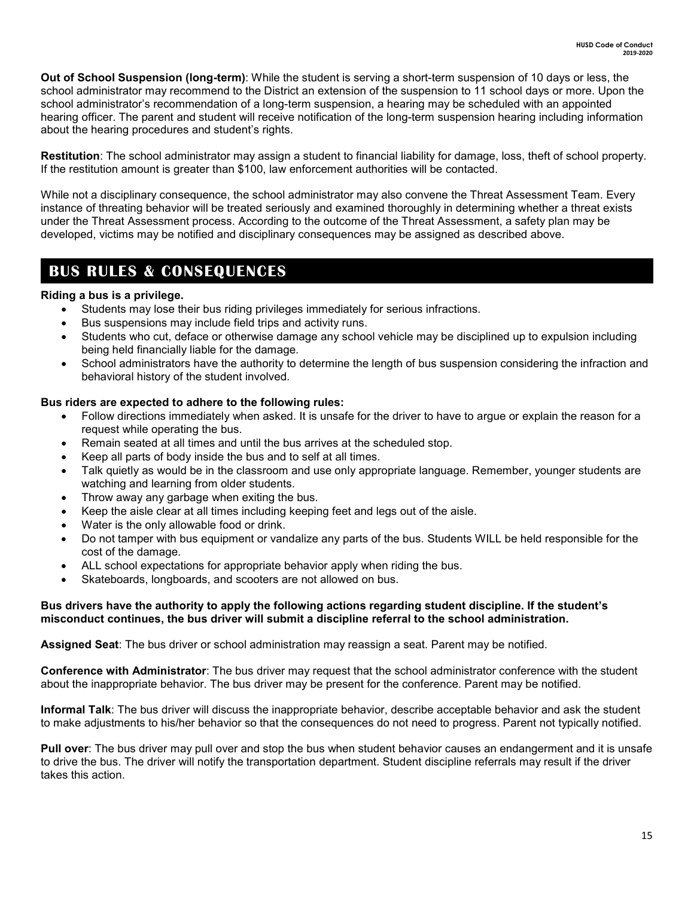**Out of School Suspension (long-term)**: While the student is serving a short-term suspension of 10 days or less, the school administrator may recommend to the District an extension of the suspension to 11 school days or more. Upon the school administrator's recommendation of a long-term suspension, a hearing may be scheduled with an appointed hearing officer. The parent and student will receive notification of the long-term suspension hearing including information about the hearing procedures and student's rights.

**Restitution**: The school administrator may assign a student to financial liability for damage, loss, theft of school property. If the restitution amount is greater than \$100, law enforcement authorities will be contacted.

While not a disciplinary consequence, the school administrator may also convene the Threat Assessment Team. Every instance of threating behavior will be treated seriously and examined thoroughly in determining whether a threat exists under the Threat Assessment process. According to the outcome of the Threat Assessment, a safety plan may be developed, victims may be notified and disciplinary consequences may be assigned as described above.

### **BUS RULES & CONSEQUENCES**

### **Riding a bus is a privilege.**

- Students may lose their bus riding privileges immediately for serious infractions.
- Bus suspensions may include field trips and activity runs.
- Students who cut, deface or otherwise damage any school vehicle may be disciplined up to expulsion including being held financially liable for the damage.
- School administrators have the authority to determine the length of bus suspension considering the infraction and behavioral history of the student involved.

### **Bus riders are expected to adhere to the following rules:**

- Follow directions immediately when asked. It is unsafe for the driver to have to argue or explain the reason for a request while operating the bus.
- Remain seated at all times and until the bus arrives at the scheduled stop.
- Keep all parts of body inside the bus and to self at all times.
- Talk quietly as would be in the classroom and use only appropriate language. Remember, younger students are watching and learning from older students.
- Throw away any garbage when exiting the bus.
- Keep the aisle clear at all times including keeping feet and legs out of the aisle.
- Water is the only allowable food or drink.
- Do not tamper with bus equipment or vandalize any parts of the bus. Students WILL be held responsible for the cost of the damage.
- ALL school expectations for appropriate behavior apply when riding the bus.
- Skateboards, longboards, and scooters are not allowed on bus.

### **Bus drivers have the authority to apply the following actions regarding student discipline. If the student's misconduct continues, the bus driver will submit a discipline referral to the school administration.**

**Assigned Seat**: The bus driver or school administration may reassign a seat. Parent may be notified.

**Conference with Administrator**: The bus driver may request that the school administrator conference with the student about the inappropriate behavior. The bus driver may be present for the conference. Parent may be notified.

**Informal Talk**: The bus driver will discuss the inappropriate behavior, describe acceptable behavior and ask the student to make adjustments to his/her behavior so that the consequences do not need to progress. Parent not typically notified.

**Pull over**: The bus driver may pull over and stop the bus when student behavior causes an endangerment and it is unsafe to drive the bus. The driver will notify the transportation department. Student discipline referrals may result if the driver takes this action.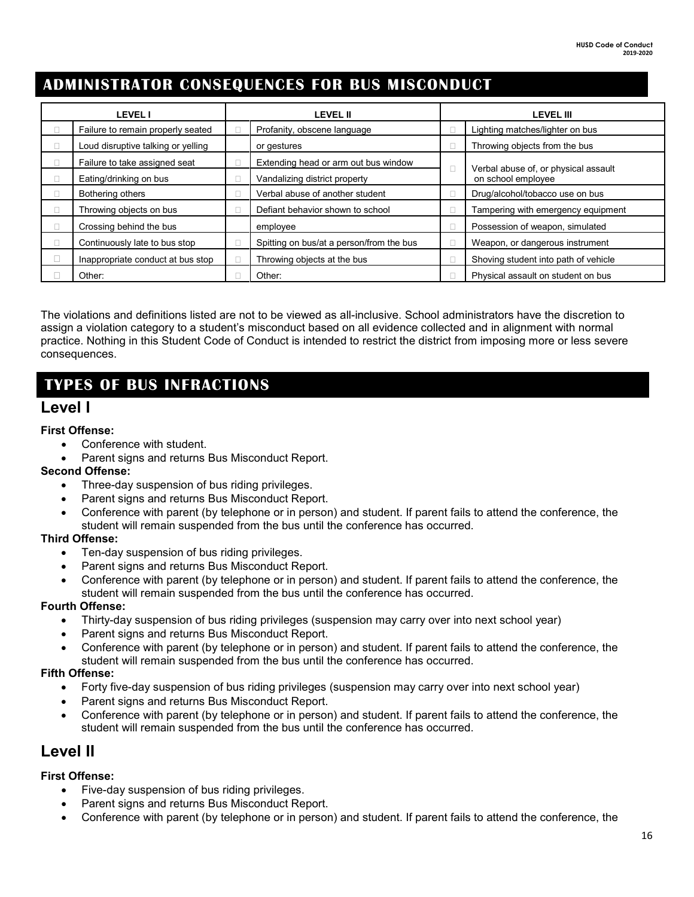### **ADMINISTRATOR CONSEQUENCES FOR BUS MISCONDUCT**

| <b>LEVEL I</b>                     | <b>LEVEL II</b> |                                          | <b>LEVEL III</b> |                                      |
|------------------------------------|-----------------|------------------------------------------|------------------|--------------------------------------|
| Failure to remain properly seated  |                 | Profanity, obscene language              |                  | Lighting matches/lighter on bus      |
| Loud disruptive talking or yelling |                 | or gestures                              |                  | Throwing objects from the bus        |
| Failure to take assigned seat      |                 | Extending head or arm out bus window     | $\Box$           | Verbal abuse of, or physical assault |
| Eating/drinking on bus             |                 | Vandalizing district property            |                  | on school employee                   |
| Bothering others                   |                 | Verbal abuse of another student          |                  | Drug/alcohol/tobacco use on bus      |
| Throwing objects on bus            |                 | Defiant behavior shown to school         |                  | Tampering with emergency equipment   |
| Crossing behind the bus            |                 | employee                                 |                  | Possession of weapon, simulated      |
| Continuously late to bus stop      |                 | Spitting on bus/at a person/from the bus |                  | Weapon, or dangerous instrument      |
| Inappropriate conduct at bus stop  |                 | Throwing objects at the bus              |                  | Shoving student into path of vehicle |
| Other:                             |                 | Other:                                   |                  | Physical assault on student on bus   |

The violations and definitions listed are not to be viewed as all-inclusive. School administrators have the discretion to assign a violation category to a student's misconduct based on all evidence collected and in alignment with normal practice. Nothing in this Student Code of Conduct is intended to restrict the district from imposing more or less severe consequences.

### **TYPES OF BUS INFRACTIONS**

### **Level I**

### **First Offense:**

- Conference with student.
- Parent signs and returns Bus Misconduct Report.

### **Second Offense:**

- Three-day suspension of bus riding privileges.
- Parent signs and returns Bus Misconduct Report.
- Conference with parent (by telephone or in person) and student. If parent fails to attend the conference, the student will remain suspended from the bus until the conference has occurred.

### **Third Offense:**

- Ten-day suspension of bus riding privileges.
- Parent signs and returns Bus Misconduct Report.
- Conference with parent (by telephone or in person) and student. If parent fails to attend the conference, the student will remain suspended from the bus until the conference has occurred.

### **Fourth Offense:**

- Thirty-day suspension of bus riding privileges (suspension may carry over into next school year)
- Parent signs and returns Bus Misconduct Report.
- Conference with parent (by telephone or in person) and student. If parent fails to attend the conference, the student will remain suspended from the bus until the conference has occurred.

### **Fifth Offense:**

- Forty five-day suspension of bus riding privileges (suspension may carry over into next school year)
- Parent signs and returns Bus Misconduct Report.
- Conference with parent (by telephone or in person) and student. If parent fails to attend the conference, the student will remain suspended from the bus until the conference has occurred.

### **Level II**

### **First Offense:**

- Five-day suspension of bus riding privileges.
- Parent signs and returns Bus Misconduct Report.
- Conference with parent (by telephone or in person) and student. If parent fails to attend the conference, the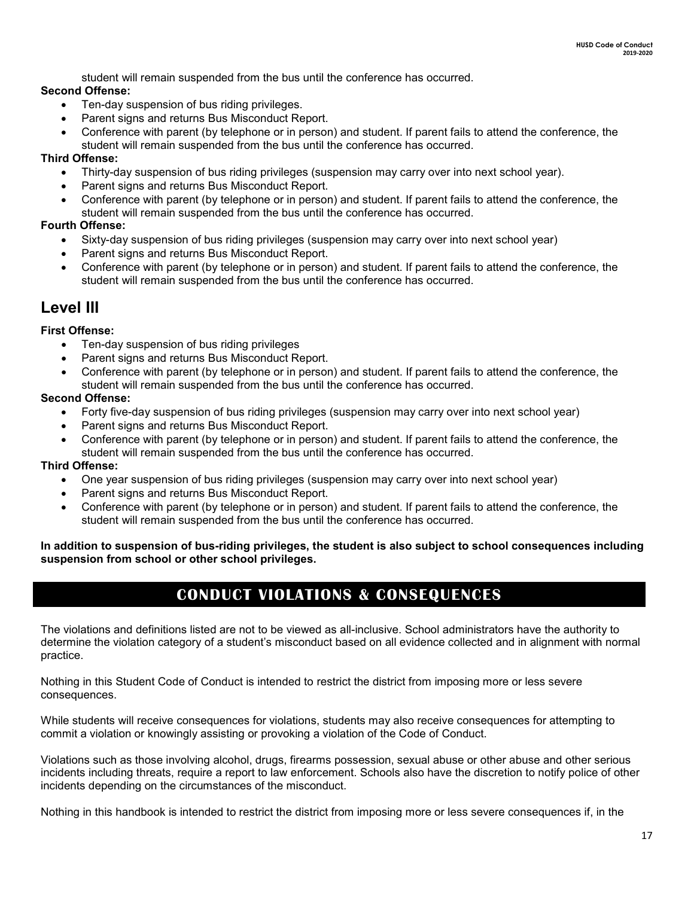student will remain suspended from the bus until the conference has occurred.

### **Second Offense:**

- Ten-day suspension of bus riding privileges.
- Parent signs and returns Bus Misconduct Report.
- Conference with parent (by telephone or in person) and student. If parent fails to attend the conference, the student will remain suspended from the bus until the conference has occurred.

### **Third Offense:**

- Thirty-day suspension of bus riding privileges (suspension may carry over into next school year).
- Parent signs and returns Bus Misconduct Report.
- Conference with parent (by telephone or in person) and student. If parent fails to attend the conference, the student will remain suspended from the bus until the conference has occurred.

### **Fourth Offense:**

- Sixty-day suspension of bus riding privileges (suspension may carry over into next school year)
- Parent signs and returns Bus Misconduct Report.
- Conference with parent (by telephone or in person) and student. If parent fails to attend the conference, the student will remain suspended from the bus until the conference has occurred.

### **Level III**

### **First Offense:**

- Ten-day suspension of bus riding privileges
- Parent signs and returns Bus Misconduct Report.
- Conference with parent (by telephone or in person) and student. If parent fails to attend the conference, the student will remain suspended from the bus until the conference has occurred.

### **Second Offense:**

- Forty five-day suspension of bus riding privileges (suspension may carry over into next school year)
- Parent signs and returns Bus Misconduct Report.
- Conference with parent (by telephone or in person) and student. If parent fails to attend the conference, the student will remain suspended from the bus until the conference has occurred.

### **Third Offense:**

- One year suspension of bus riding privileges (suspension may carry over into next school year)
- Parent signs and returns Bus Misconduct Report.
- Conference with parent (by telephone or in person) and student. If parent fails to attend the conference, the student will remain suspended from the bus until the conference has occurred.

**In addition to suspension of bus-riding privileges, the student is also subject to school consequences including suspension from school or other school privileges.**

### **CONDUCT VIOLATIONS & CONSEQUENCES**

The violations and definitions listed are not to be viewed as all-inclusive. School administrators have the authority to determine the violation category of a student's misconduct based on all evidence collected and in alignment with normal practice.

Nothing in this Student Code of Conduct is intended to restrict the district from imposing more or less severe consequences.

While students will receive consequences for violations, students may also receive consequences for attempting to commit a violation or knowingly assisting or provoking a violation of the Code of Conduct.

Violations such as those involving alcohol, drugs, firearms possession, sexual abuse or other abuse and other serious incidents including threats, require a report to law enforcement. Schools also have the discretion to notify police of other incidents depending on the circumstances of the misconduct.

Nothing in this handbook is intended to restrict the district from imposing more or less severe consequences if, in the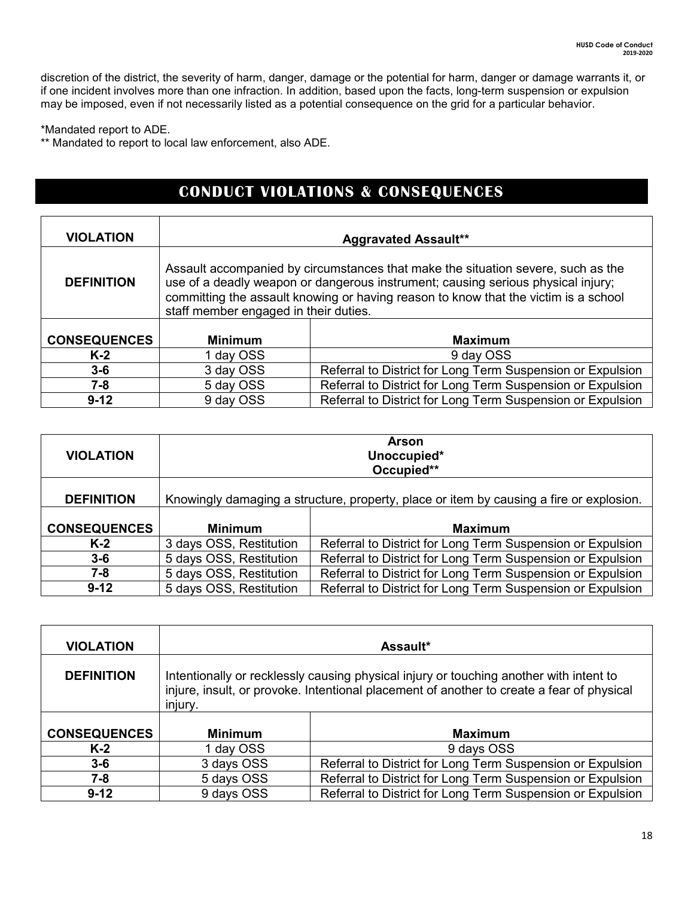discretion of the district, the severity of harm, danger, damage or the potential for harm, danger or damage warrants it, or if one incident involves more than one infraction. In addition, based upon the facts, long-term suspension or expulsion may be imposed, even if not necessarily listed as a potential consequence on the grid for a particular behavior.

\*Mandated report to ADE.

\*\* Mandated to report to local law enforcement, also ADE.

### **CONDUCT VIOLATIONS & CONSEQUENCES**

| <b>VIOLATION</b>    |                                                                                                                                                                                                                                                                                                      | <b>Aggravated Assault**</b>                                |  |
|---------------------|------------------------------------------------------------------------------------------------------------------------------------------------------------------------------------------------------------------------------------------------------------------------------------------------------|------------------------------------------------------------|--|
| <b>DEFINITION</b>   | Assault accompanied by circumstances that make the situation severe, such as the<br>use of a deadly weapon or dangerous instrument; causing serious physical injury;<br>committing the assault knowing or having reason to know that the victim is a school<br>staff member engaged in their duties. |                                                            |  |
| <b>CONSEQUENCES</b> | <b>Minimum</b>                                                                                                                                                                                                                                                                                       | <b>Maximum</b>                                             |  |
| $K-2$               | 1 day OSS                                                                                                                                                                                                                                                                                            | 9 day OSS                                                  |  |
| $3 - 6$             | 3 day OSS                                                                                                                                                                                                                                                                                            | Referral to District for Long Term Suspension or Expulsion |  |
| $7 - 8$             | 5 day OSS                                                                                                                                                                                                                                                                                            | Referral to District for Long Term Suspension or Expulsion |  |
| $9 - 12$            | 9 day OSS                                                                                                                                                                                                                                                                                            | Referral to District for Long Term Suspension or Expulsion |  |

| <b>VIOLATION</b>    | <b>Arson</b><br>Unoccupied*<br>Occupied**                                               |                                                            |
|---------------------|-----------------------------------------------------------------------------------------|------------------------------------------------------------|
| <b>DEFINITION</b>   | Knowingly damaging a structure, property, place or item by causing a fire or explosion. |                                                            |
| <b>CONSEQUENCES</b> | <b>Minimum</b>                                                                          | <b>Maximum</b>                                             |
| $K-2$               | 3 days OSS, Restitution                                                                 | Referral to District for Long Term Suspension or Expulsion |
| $3 - 6$             | 5 days OSS, Restitution                                                                 | Referral to District for Long Term Suspension or Expulsion |
| 7-8                 | 5 days OSS, Restitution                                                                 | Referral to District for Long Term Suspension or Expulsion |
| $9 - 12$            | 5 days OSS, Restitution                                                                 | Referral to District for Long Term Suspension or Expulsion |

| <b>VIOLATION</b>    |                                                                                                                                                                                                | <b>Assault*</b>                                            |
|---------------------|------------------------------------------------------------------------------------------------------------------------------------------------------------------------------------------------|------------------------------------------------------------|
| <b>DEFINITION</b>   | Intentionally or recklessly causing physical injury or touching another with intent to<br>injure, insult, or provoke. Intentional placement of another to create a fear of physical<br>injury. |                                                            |
| <b>CONSEQUENCES</b> | <b>Minimum</b>                                                                                                                                                                                 | <b>Maximum</b>                                             |
| $K-2$               | 1 day OSS                                                                                                                                                                                      | 9 days OSS                                                 |
| $3-6$               | 3 days OSS                                                                                                                                                                                     | Referral to District for Long Term Suspension or Expulsion |
| $7 - 8$             | 5 days OSS                                                                                                                                                                                     | Referral to District for Long Term Suspension or Expulsion |
| $9 - 12$            | 9 days OSS                                                                                                                                                                                     | Referral to District for Long Term Suspension or Expulsion |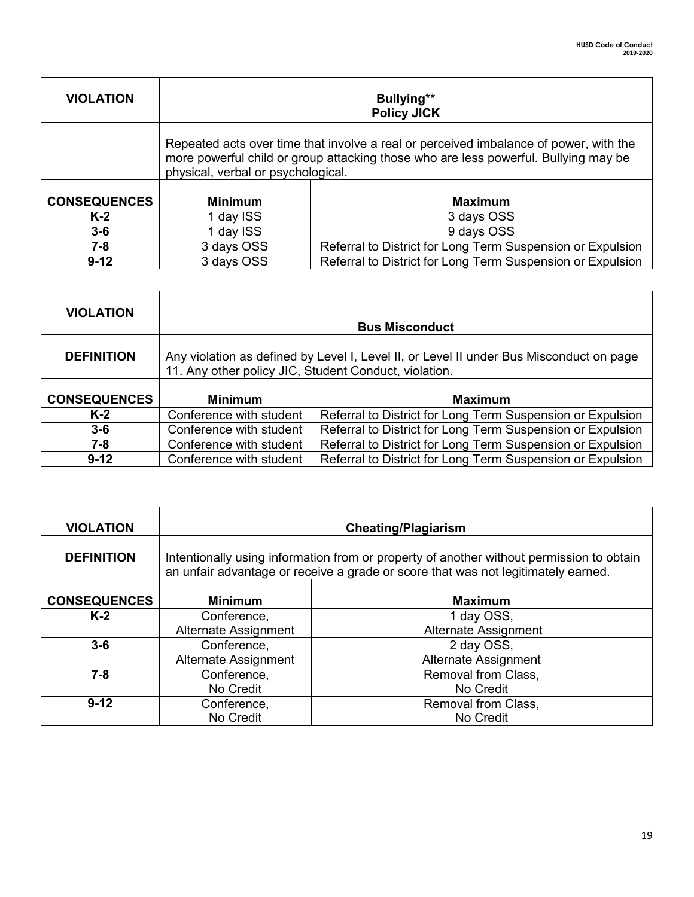| <b>VIOLATION</b>    | <b>Bullying**</b><br><b>Policy JICK</b>                                                                                                                                                                            |                                                            |  |
|---------------------|--------------------------------------------------------------------------------------------------------------------------------------------------------------------------------------------------------------------|------------------------------------------------------------|--|
|                     | Repeated acts over time that involve a real or perceived imbalance of power, with the<br>more powerful child or group attacking those who are less powerful. Bullying may be<br>physical, verbal or psychological. |                                                            |  |
| <b>CONSEQUENCES</b> | <b>Minimum</b>                                                                                                                                                                                                     | <b>Maximum</b>                                             |  |
| $K-2$               | 1 day ISS                                                                                                                                                                                                          | 3 days OSS                                                 |  |
| $3-6$               | 1 day ISS                                                                                                                                                                                                          | 9 days OSS                                                 |  |
| 7-8                 | 3 days OSS                                                                                                                                                                                                         | Referral to District for Long Term Suspension or Expulsion |  |
| $9 - 12$            | 3 days OSS                                                                                                                                                                                                         | Referral to District for Long Term Suspension or Expulsion |  |

| <b>VIOLATION</b>    |                                                                                                                                                  | <b>Bus Misconduct</b>                                      |
|---------------------|--------------------------------------------------------------------------------------------------------------------------------------------------|------------------------------------------------------------|
| <b>DEFINITION</b>   | Any violation as defined by Level I, Level II, or Level II under Bus Misconduct on page<br>11. Any other policy JIC, Student Conduct, violation. |                                                            |
| <b>CONSEQUENCES</b> | <b>Minimum</b>                                                                                                                                   | <b>Maximum</b>                                             |
| $K-2$               | Conference with student                                                                                                                          | Referral to District for Long Term Suspension or Expulsion |
| $3-6$               | Conference with student                                                                                                                          | Referral to District for Long Term Suspension or Expulsion |
| $7 - 8$             | Conference with student                                                                                                                          | Referral to District for Long Term Suspension or Expulsion |
| $9 - 12$            | Conference with student                                                                                                                          | Referral to District for Long Term Suspension or Expulsion |

| <b>VIOLATION</b>    | <b>Cheating/Plagiarism</b>                                                                                                                                                    |                             |  |
|---------------------|-------------------------------------------------------------------------------------------------------------------------------------------------------------------------------|-----------------------------|--|
| <b>DEFINITION</b>   | Intentionally using information from or property of another without permission to obtain<br>an unfair advantage or receive a grade or score that was not legitimately earned. |                             |  |
| <b>CONSEQUENCES</b> | <b>Minimum</b><br><b>Maximum</b>                                                                                                                                              |                             |  |
| $K-2$               | Conference,                                                                                                                                                                   | 1 day OSS,                  |  |
|                     | Alternate Assignment                                                                                                                                                          | Alternate Assignment        |  |
| $3-6$               | Conference,                                                                                                                                                                   | 2 day OSS,                  |  |
|                     | Alternate Assignment                                                                                                                                                          | <b>Alternate Assignment</b> |  |
| $7 - 8$             | Conference,                                                                                                                                                                   | Removal from Class,         |  |
|                     | No Credit                                                                                                                                                                     | No Credit                   |  |
| $9 - 12$            | Conference,                                                                                                                                                                   | Removal from Class,         |  |
|                     | No Credit                                                                                                                                                                     | No Credit                   |  |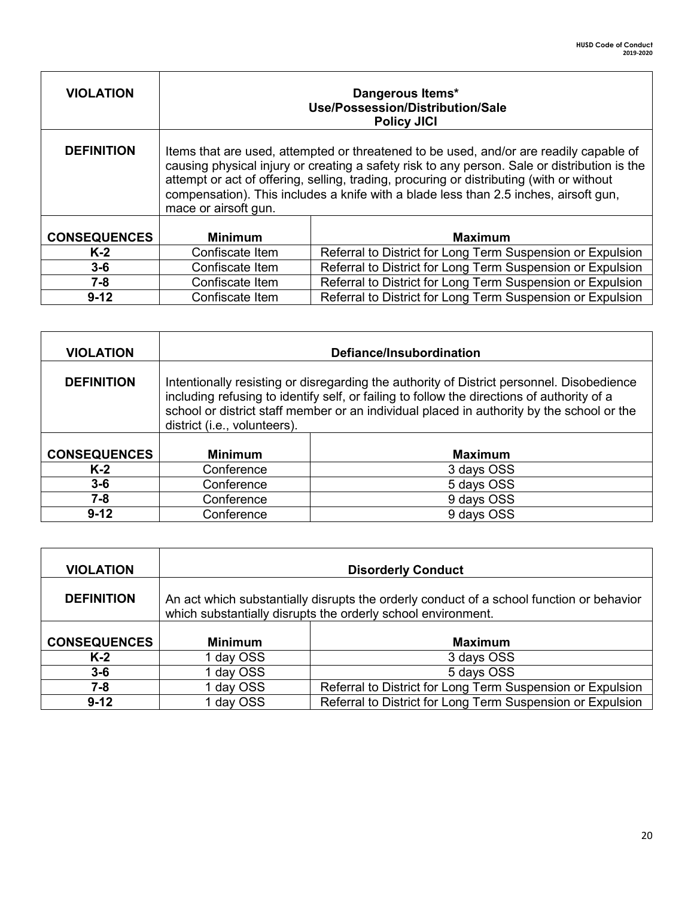| <b>VIOLATION</b>    |                      | Dangerous Items*<br>Use/Possession/Distribution/Sale<br><b>Policy JICI</b>                                                                                                                                                                                                                                                                                                 |
|---------------------|----------------------|----------------------------------------------------------------------------------------------------------------------------------------------------------------------------------------------------------------------------------------------------------------------------------------------------------------------------------------------------------------------------|
| <b>DEFINITION</b>   | mace or airsoft gun. | Items that are used, attempted or threatened to be used, and/or are readily capable of<br>causing physical injury or creating a safety risk to any person. Sale or distribution is the<br>attempt or act of offering, selling, trading, procuring or distributing (with or without<br>compensation). This includes a knife with a blade less than 2.5 inches, airsoft gun, |
| <b>CONSEQUENCES</b> | <b>Minimum</b>       | <b>Maximum</b>                                                                                                                                                                                                                                                                                                                                                             |
| $K-2$               | Confiscate Item      | Referral to District for Long Term Suspension or Expulsion                                                                                                                                                                                                                                                                                                                 |
| $3-6$               | Confiscate Item      | Referral to District for Long Term Suspension or Expulsion                                                                                                                                                                                                                                                                                                                 |
| $7 - 8$             | Confiscate Item      | Referral to District for Long Term Suspension or Expulsion                                                                                                                                                                                                                                                                                                                 |
| $9 - 12$            | Confiscate Item      | Referral to District for Long Term Suspension or Expulsion                                                                                                                                                                                                                                                                                                                 |

 $\mathbf{r}$ 

| <b>VIOLATION</b>    | Defiance/Insubordination                                                                                                                                                                                                                                                                                             |                |
|---------------------|----------------------------------------------------------------------------------------------------------------------------------------------------------------------------------------------------------------------------------------------------------------------------------------------------------------------|----------------|
| <b>DEFINITION</b>   | Intentionally resisting or disregarding the authority of District personnel. Disobedience<br>including refusing to identify self, or failing to follow the directions of authority of a<br>school or district staff member or an individual placed in authority by the school or the<br>district (i.e., volunteers). |                |
| <b>CONSEQUENCES</b> | <b>Minimum</b>                                                                                                                                                                                                                                                                                                       | <b>Maximum</b> |
| $K-2$               | Conference                                                                                                                                                                                                                                                                                                           | 3 days OSS     |
| $3 - 6$             | Conference                                                                                                                                                                                                                                                                                                           | 5 days OSS     |
| 7-8                 | Conference                                                                                                                                                                                                                                                                                                           | 9 days OSS     |
| $9 - 12$            | Conference                                                                                                                                                                                                                                                                                                           | 9 days OSS     |

| <b>VIOLATION</b>    | <b>Disorderly Conduct</b> |                                                                                                                                                          |
|---------------------|---------------------------|----------------------------------------------------------------------------------------------------------------------------------------------------------|
| <b>DEFINITION</b>   |                           | An act which substantially disrupts the orderly conduct of a school function or behavior<br>which substantially disrupts the orderly school environment. |
| <b>CONSEQUENCES</b> | <b>Minimum</b>            | <b>Maximum</b>                                                                                                                                           |
| $K-2$               | day OSS                   | 3 days OSS                                                                                                                                               |
| $3-6$               | day OSS                   | 5 days OSS                                                                                                                                               |
| 7-8                 | day OSS                   | Referral to District for Long Term Suspension or Expulsion                                                                                               |
| $9 - 12$            | day OSS                   | Referral to District for Long Term Suspension or Expulsion                                                                                               |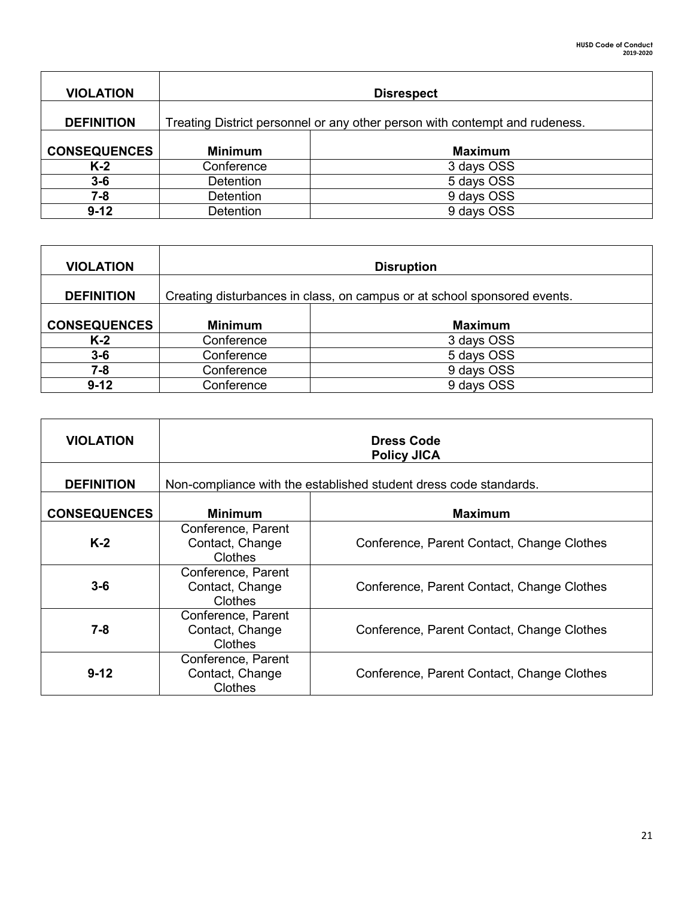| <b>VIOLATION</b>    | <b>Disrespect</b>                                                           |                |
|---------------------|-----------------------------------------------------------------------------|----------------|
| <b>DEFINITION</b>   | Treating District personnel or any other person with contempt and rudeness. |                |
| <b>CONSEQUENCES</b> | <b>Minimum</b>                                                              | <b>Maximum</b> |
| $K-2$               | Conference                                                                  | 3 days OSS     |
| $3 - 6$             | <b>Detention</b>                                                            | 5 days OSS     |
| 7-8                 | <b>Detention</b>                                                            | 9 days OSS     |
| $9 - 12$            | <b>Detention</b>                                                            | 9 days OSS     |

| <b>VIOLATION</b>    | <b>Disruption</b>                                                        |                |
|---------------------|--------------------------------------------------------------------------|----------------|
| <b>DEFINITION</b>   | Creating disturbances in class, on campus or at school sponsored events. |                |
| <b>CONSEQUENCES</b> | <b>Minimum</b>                                                           | <b>Maximum</b> |
| $K-2$               | Conference                                                               | 3 days OSS     |
| $3-6$               | Conference                                                               | 5 days OSS     |
| 7-8                 | Conference                                                               | 9 days OSS     |
| $9 - 12$            | Conference                                                               | 9 days OSS     |

| <b>VIOLATION</b>    | <b>Dress Code</b><br><b>Policy JICA</b>                           |                                            |
|---------------------|-------------------------------------------------------------------|--------------------------------------------|
| <b>DEFINITION</b>   | Non-compliance with the established student dress code standards. |                                            |
| <b>CONSEQUENCES</b> | <b>Minimum</b>                                                    | <b>Maximum</b>                             |
| $K-2$               | Conference, Parent<br>Contact, Change<br>Clothes                  | Conference, Parent Contact, Change Clothes |
| $3 - 6$             | Conference, Parent<br>Contact, Change<br>Clothes                  | Conference, Parent Contact, Change Clothes |
| 7-8                 | Conference, Parent<br>Contact, Change<br>Clothes                  | Conference, Parent Contact, Change Clothes |
| $9 - 12$            | Conference, Parent<br>Contact, Change<br>Clothes                  | Conference, Parent Contact, Change Clothes |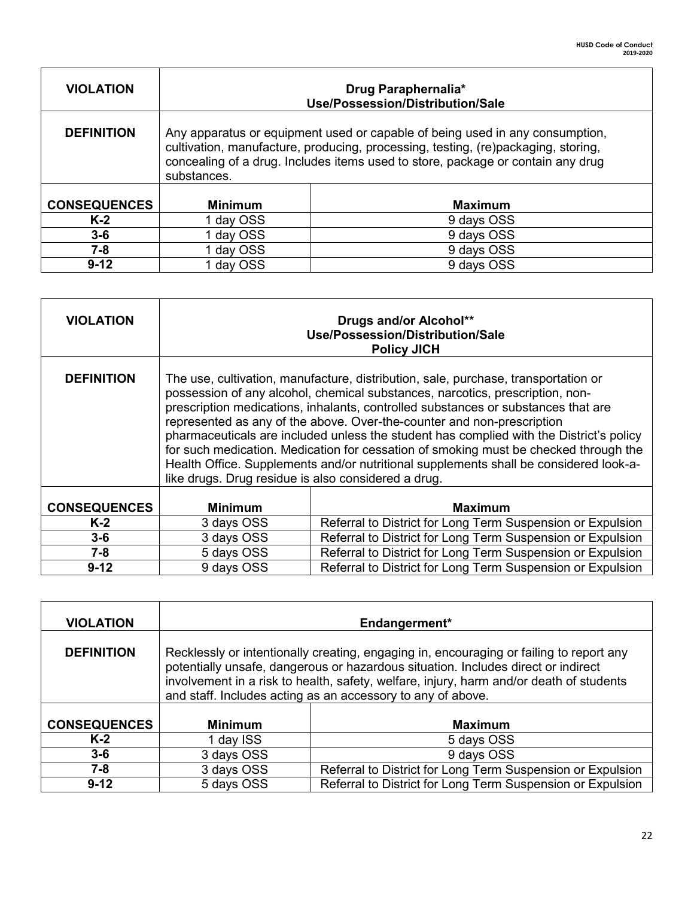┑

| <b>VIOLATION</b>    | Drug Paraphernalia*<br>Use/Possession/Distribution/Sale                                                                                                                                                                                                             |                |
|---------------------|---------------------------------------------------------------------------------------------------------------------------------------------------------------------------------------------------------------------------------------------------------------------|----------------|
| <b>DEFINITION</b>   | Any apparatus or equipment used or capable of being used in any consumption,<br>cultivation, manufacture, producing, processing, testing, (re)packaging, storing,<br>concealing of a drug. Includes items used to store, package or contain any drug<br>substances. |                |
| <b>CONSEQUENCES</b> | <b>Minimum</b>                                                                                                                                                                                                                                                      | <b>Maximum</b> |
| $K-2$               | 1 day OSS                                                                                                                                                                                                                                                           | 9 days OSS     |
| $3 - 6$             | day OSS                                                                                                                                                                                                                                                             | 9 days OSS     |
| $7 - 8$             | day OSS                                                                                                                                                                                                                                                             | 9 days OSS     |
| $9 - 12$            | day OSS                                                                                                                                                                                                                                                             | 9 days OSS     |

Г

| <b>VIOLATION</b>    | Drugs and/or Alcohol**<br>Use/Possession/Distribution/Sale<br><b>Policy JICH</b>                                                                                                                                                                                                                                                                                                                                                                                                                                                                                                                                                                                      |                                                            |
|---------------------|-----------------------------------------------------------------------------------------------------------------------------------------------------------------------------------------------------------------------------------------------------------------------------------------------------------------------------------------------------------------------------------------------------------------------------------------------------------------------------------------------------------------------------------------------------------------------------------------------------------------------------------------------------------------------|------------------------------------------------------------|
| <b>DEFINITION</b>   | The use, cultivation, manufacture, distribution, sale, purchase, transportation or<br>possession of any alcohol, chemical substances, narcotics, prescription, non-<br>prescription medications, inhalants, controlled substances or substances that are<br>represented as any of the above. Over-the-counter and non-prescription<br>pharmaceuticals are included unless the student has complied with the District's policy<br>for such medication. Medication for cessation of smoking must be checked through the<br>Health Office. Supplements and/or nutritional supplements shall be considered look-a-<br>like drugs. Drug residue is also considered a drug. |                                                            |
| <b>CONSEQUENCES</b> | <b>Minimum</b>                                                                                                                                                                                                                                                                                                                                                                                                                                                                                                                                                                                                                                                        | <b>Maximum</b>                                             |
| $K-2$               | 3 days OSS                                                                                                                                                                                                                                                                                                                                                                                                                                                                                                                                                                                                                                                            | Referral to District for Long Term Suspension or Expulsion |
| $3-6$               | 3 days OSS                                                                                                                                                                                                                                                                                                                                                                                                                                                                                                                                                                                                                                                            | Referral to District for Long Term Suspension or Expulsion |
| 7-8                 | 5 days OSS                                                                                                                                                                                                                                                                                                                                                                                                                                                                                                                                                                                                                                                            | Referral to District for Long Term Suspension or Expulsion |
| $9 - 12$            | 9 days OSS                                                                                                                                                                                                                                                                                                                                                                                                                                                                                                                                                                                                                                                            | Referral to District for Long Term Suspension or Expulsion |

| <b>VIOLATION</b>    | Endangerment*                                                                                                                                                                                                                                                                                                                          |                                                            |
|---------------------|----------------------------------------------------------------------------------------------------------------------------------------------------------------------------------------------------------------------------------------------------------------------------------------------------------------------------------------|------------------------------------------------------------|
| <b>DEFINITION</b>   | Recklessly or intentionally creating, engaging in, encouraging or failing to report any<br>potentially unsafe, dangerous or hazardous situation. Includes direct or indirect<br>involvement in a risk to health, safety, welfare, injury, harm and/or death of students<br>and staff. Includes acting as an accessory to any of above. |                                                            |
| <b>CONSEQUENCES</b> | <b>Minimum</b>                                                                                                                                                                                                                                                                                                                         | <b>Maximum</b>                                             |
| $K-2$               | 1 day ISS                                                                                                                                                                                                                                                                                                                              | 5 days OSS                                                 |
| $3-6$               | 3 days OSS                                                                                                                                                                                                                                                                                                                             | 9 days OSS                                                 |
| 7-8                 | 3 days OSS                                                                                                                                                                                                                                                                                                                             | Referral to District for Long Term Suspension or Expulsion |
| $9 - 12$            | 5 days OSS                                                                                                                                                                                                                                                                                                                             | Referral to District for Long Term Suspension or Expulsion |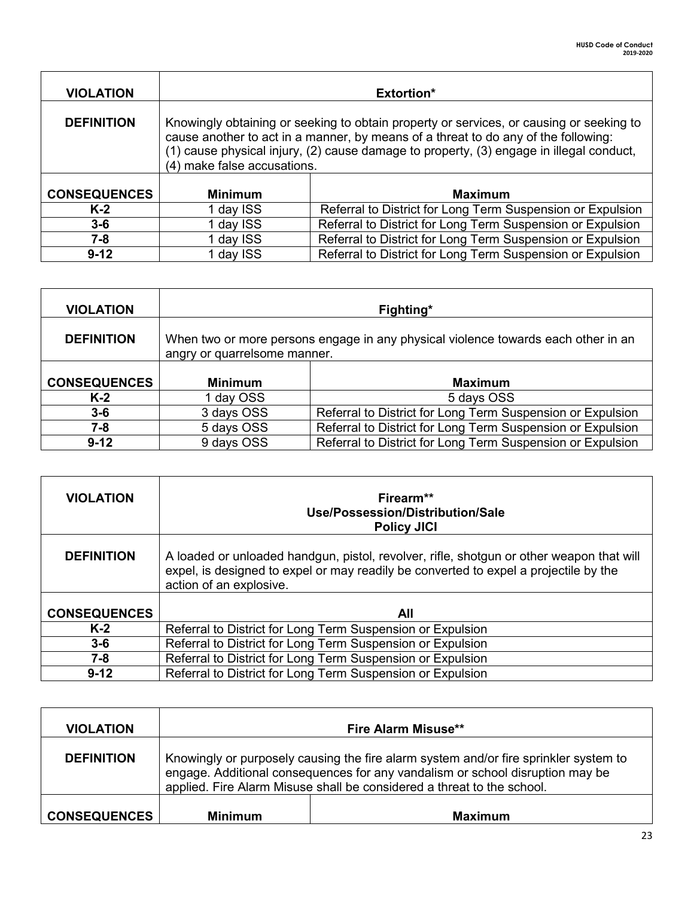| <b>VIOLATION</b>    | <b>Extortion*</b>                                                                                                                                                                                                                                                                                       |                                                            |
|---------------------|---------------------------------------------------------------------------------------------------------------------------------------------------------------------------------------------------------------------------------------------------------------------------------------------------------|------------------------------------------------------------|
| <b>DEFINITION</b>   | Knowingly obtaining or seeking to obtain property or services, or causing or seeking to<br>cause another to act in a manner, by means of a threat to do any of the following:<br>(1) cause physical injury, (2) cause damage to property, (3) engage in illegal conduct,<br>(4) make false accusations. |                                                            |
| <b>CONSEQUENCES</b> | <b>Minimum</b>                                                                                                                                                                                                                                                                                          | <b>Maximum</b>                                             |
| $K-2$               | 1 day ISS                                                                                                                                                                                                                                                                                               | Referral to District for Long Term Suspension or Expulsion |
| $3 - 6$             | 1 day ISS                                                                                                                                                                                                                                                                                               | Referral to District for Long Term Suspension or Expulsion |
| $7 - 8$             | 1 day ISS                                                                                                                                                                                                                                                                                               | Referral to District for Long Term Suspension or Expulsion |
| $9 - 12$            | 1 day ISS                                                                                                                                                                                                                                                                                               | Referral to District for Long Term Suspension or Expulsion |

| <b>VIOLATION</b>    | Fighting*                                                                                                         |                                                            |
|---------------------|-------------------------------------------------------------------------------------------------------------------|------------------------------------------------------------|
| <b>DEFINITION</b>   | When two or more persons engage in any physical violence towards each other in an<br>angry or quarrelsome manner. |                                                            |
| <b>CONSEQUENCES</b> |                                                                                                                   | <b>Maximum</b>                                             |
|                     | <b>Minimum</b>                                                                                                    |                                                            |
|                     |                                                                                                                   |                                                            |
| $K-2$               | 1 day OSS                                                                                                         | 5 days OSS                                                 |
| $3 - 6$             | 3 days OSS                                                                                                        | Referral to District for Long Term Suspension or Expulsion |
| 7-8                 | 5 days OSS                                                                                                        | Referral to District for Long Term Suspension or Expulsion |

| <b>VIOLATION</b>    | Firearm**<br>Use/Possession/Distribution/Sale<br><b>Policy JICI</b>                                                                                                                                         |
|---------------------|-------------------------------------------------------------------------------------------------------------------------------------------------------------------------------------------------------------|
| <b>DEFINITION</b>   | A loaded or unloaded handgun, pistol, revolver, rifle, shotgun or other weapon that will<br>expel, is designed to expel or may readily be converted to expel a projectile by the<br>action of an explosive. |
| <b>CONSEQUENCES</b> | All                                                                                                                                                                                                         |
| $K-2$               | Referral to District for Long Term Suspension or Expulsion                                                                                                                                                  |
| $3-6$               | Referral to District for Long Term Suspension or Expulsion                                                                                                                                                  |
| $7 - 8$             | Referral to District for Long Term Suspension or Expulsion                                                                                                                                                  |
| $9 - 12$            | Referral to District for Long Term Suspension or Expulsion                                                                                                                                                  |

| <b>VIOLATION</b>    |                                                                                                                                                                                                                                                 | <b>Fire Alarm Misuse**</b> |
|---------------------|-------------------------------------------------------------------------------------------------------------------------------------------------------------------------------------------------------------------------------------------------|----------------------------|
| <b>DEFINITION</b>   | Knowingly or purposely causing the fire alarm system and/or fire sprinkler system to<br>engage. Additional consequences for any vandalism or school disruption may be<br>applied. Fire Alarm Misuse shall be considered a threat to the school. |                            |
| <b>CONSEQUENCES</b> | <b>Minimum</b>                                                                                                                                                                                                                                  | <b>Maximum</b>             |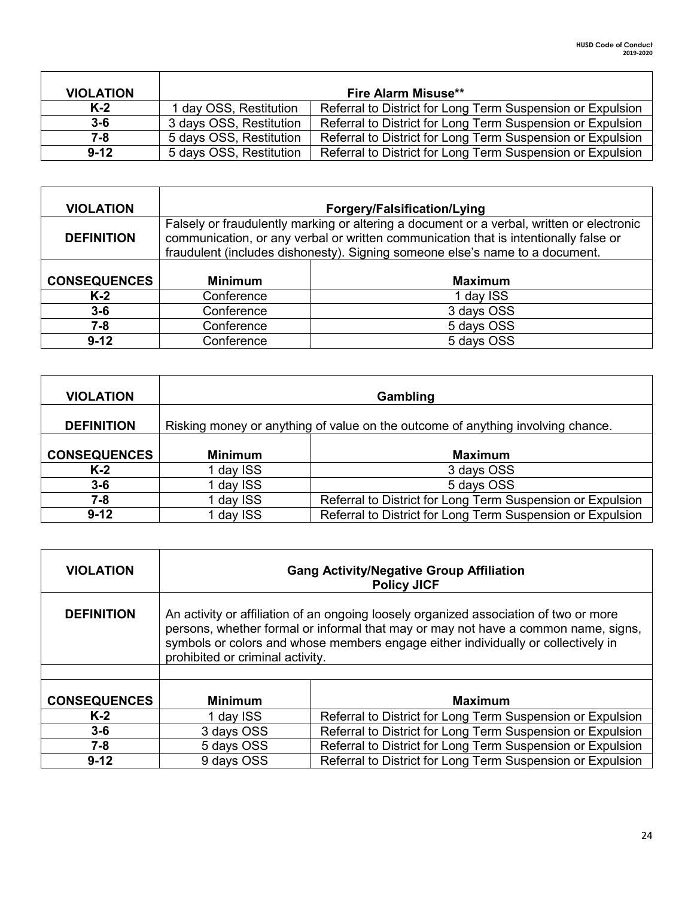| <b>VIOLATION</b> |                         | <b>Fire Alarm Misuse**</b>                                 |
|------------------|-------------------------|------------------------------------------------------------|
| K-2              | 1 day OSS, Restitution  | Referral to District for Long Term Suspension or Expulsion |
| $3 - 6$          | 3 days OSS, Restitution | Referral to District for Long Term Suspension or Expulsion |
| $7 - 8$          | 5 days OSS, Restitution | Referral to District for Long Term Suspension or Expulsion |
| $9 - 12$         | 5 days OSS, Restitution | Referral to District for Long Term Suspension or Expulsion |

| <b>VIOLATION</b>    |                                                                                                                                                                                                                                                                   | <b>Forgery/Falsification/Lying</b> |
|---------------------|-------------------------------------------------------------------------------------------------------------------------------------------------------------------------------------------------------------------------------------------------------------------|------------------------------------|
| <b>DEFINITION</b>   | Falsely or fraudulently marking or altering a document or a verbal, written or electronic<br>communication, or any verbal or written communication that is intentionally false or<br>fraudulent (includes dishonesty). Signing someone else's name to a document. |                                    |
| <b>CONSEQUENCES</b> | <b>Minimum</b>                                                                                                                                                                                                                                                    | <b>Maximum</b>                     |
| $K-2$               | Conference                                                                                                                                                                                                                                                        | 1 day ISS                          |
| $3-6$               | Conference                                                                                                                                                                                                                                                        | 3 days OSS                         |
| 7-8                 | Conference                                                                                                                                                                                                                                                        | 5 days OSS                         |
| $9 - 12$            | Conference                                                                                                                                                                                                                                                        | 5 days OSS                         |

| <b>VIOLATION</b>    |                | Gambling                                                                        |
|---------------------|----------------|---------------------------------------------------------------------------------|
| <b>DEFINITION</b>   |                | Risking money or anything of value on the outcome of anything involving chance. |
| <b>CONSEQUENCES</b> | <b>Minimum</b> | <b>Maximum</b>                                                                  |
| $K-2$               | 1 day ISS      | 3 days OSS                                                                      |
| $3-6$               | 1 day ISS      | 5 days OSS                                                                      |
| 7-8                 | 1 day ISS      | Referral to District for Long Term Suspension or Expulsion                      |
| $9 - 12$            | 1 day ISS      | Referral to District for Long Term Suspension or Expulsion                      |

| <b>VIOLATION</b>    | <b>Gang Activity/Negative Group Affiliation</b><br><b>Policy JICF</b>                                                                                                                                                                                                                                |                                                            |
|---------------------|------------------------------------------------------------------------------------------------------------------------------------------------------------------------------------------------------------------------------------------------------------------------------------------------------|------------------------------------------------------------|
| <b>DEFINITION</b>   | An activity or affiliation of an ongoing loosely organized association of two or more<br>persons, whether formal or informal that may or may not have a common name, signs,<br>symbols or colors and whose members engage either individually or collectively in<br>prohibited or criminal activity. |                                                            |
| <b>CONSEQUENCES</b> | <b>Minimum</b>                                                                                                                                                                                                                                                                                       | <b>Maximum</b>                                             |
| $K-2$               | 1 day ISS                                                                                                                                                                                                                                                                                            | Referral to District for Long Term Suspension or Expulsion |
| $3-6$               | 3 days OSS                                                                                                                                                                                                                                                                                           | Referral to District for Long Term Suspension or Expulsion |
| $7 - 8$             | 5 days OSS                                                                                                                                                                                                                                                                                           | Referral to District for Long Term Suspension or Expulsion |
| $9 - 12$            | 9 days OSS                                                                                                                                                                                                                                                                                           | Referral to District for Long Term Suspension or Expulsion |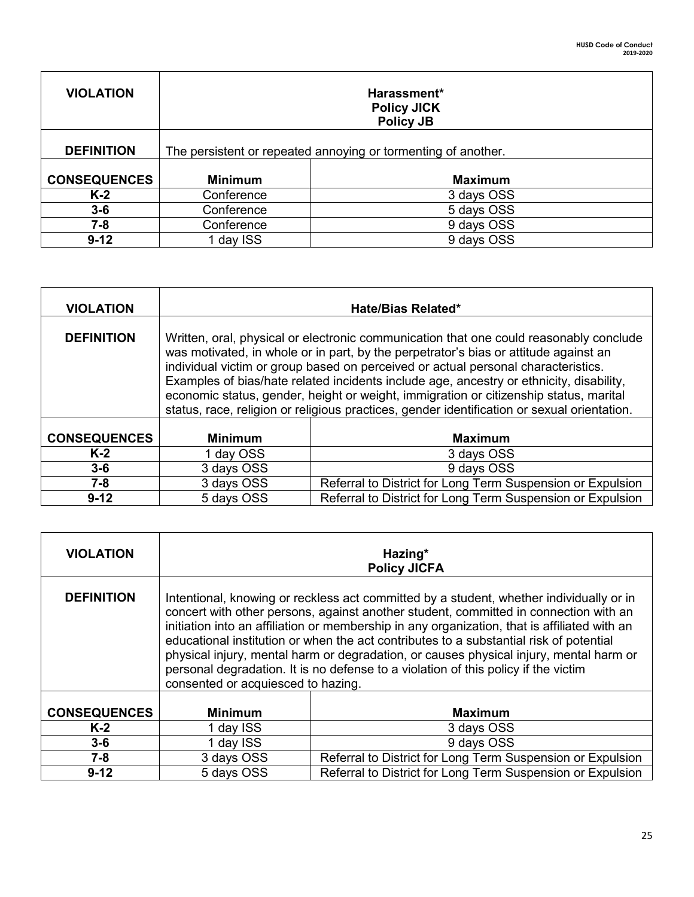| <b>VIOLATION</b>    |                                                               | Harassment*<br><b>Policy JICK</b><br><b>Policy JB</b> |
|---------------------|---------------------------------------------------------------|-------------------------------------------------------|
| <b>DEFINITION</b>   | The persistent or repeated annoying or tormenting of another. |                                                       |
| <b>CONSEQUENCES</b> | <b>Minimum</b>                                                | <b>Maximum</b>                                        |
| $K-2$               | Conference                                                    | 3 days OSS                                            |
| $3-6$               | Conference                                                    | 5 days OSS                                            |
| 7-8                 | Conference                                                    | 9 days OSS                                            |
| $9 - 12$            | 1 day ISS                                                     | 9 days OSS                                            |

| <b>VIOLATION</b>    | Hate/Bias Related*                                                                                                                                                                                                                                                                                                                                                                                                                                                                                                                                     |                                                            |
|---------------------|--------------------------------------------------------------------------------------------------------------------------------------------------------------------------------------------------------------------------------------------------------------------------------------------------------------------------------------------------------------------------------------------------------------------------------------------------------------------------------------------------------------------------------------------------------|------------------------------------------------------------|
| <b>DEFINITION</b>   | Written, oral, physical or electronic communication that one could reasonably conclude<br>was motivated, in whole or in part, by the perpetrator's bias or attitude against an<br>individual victim or group based on perceived or actual personal characteristics.<br>Examples of bias/hate related incidents include age, ancestry or ethnicity, disability,<br>economic status, gender, height or weight, immigration or citizenship status, marital<br>status, race, religion or religious practices, gender identification or sexual orientation. |                                                            |
| <b>CONSEQUENCES</b> | <b>Minimum</b>                                                                                                                                                                                                                                                                                                                                                                                                                                                                                                                                         | <b>Maximum</b>                                             |
| $K-2$               | 1 day OSS                                                                                                                                                                                                                                                                                                                                                                                                                                                                                                                                              | 3 days OSS                                                 |
| $3 - 6$             | 3 days OSS                                                                                                                                                                                                                                                                                                                                                                                                                                                                                                                                             | 9 days OSS                                                 |
| $7 - 8$             | 3 days OSS                                                                                                                                                                                                                                                                                                                                                                                                                                                                                                                                             | Referral to District for Long Term Suspension or Expulsion |
| $9 - 12$            | 5 days OSS                                                                                                                                                                                                                                                                                                                                                                                                                                                                                                                                             | Referral to District for Long Term Suspension or Expulsion |

| <b>VIOLATION</b>    | Hazing*<br><b>Policy JICFA</b>                                                                                                                                                                                                                                                                                                                                                                                                                                                                                                                                                                  |                                                            |
|---------------------|-------------------------------------------------------------------------------------------------------------------------------------------------------------------------------------------------------------------------------------------------------------------------------------------------------------------------------------------------------------------------------------------------------------------------------------------------------------------------------------------------------------------------------------------------------------------------------------------------|------------------------------------------------------------|
| <b>DEFINITION</b>   | Intentional, knowing or reckless act committed by a student, whether individually or in<br>concert with other persons, against another student, committed in connection with an<br>initiation into an affiliation or membership in any organization, that is affiliated with an<br>educational institution or when the act contributes to a substantial risk of potential<br>physical injury, mental harm or degradation, or causes physical injury, mental harm or<br>personal degradation. It is no defense to a violation of this policy if the victim<br>consented or acquiesced to hazing. |                                                            |
| <b>CONSEQUENCES</b> | <b>Minimum</b>                                                                                                                                                                                                                                                                                                                                                                                                                                                                                                                                                                                  | <b>Maximum</b>                                             |
| $K-2$               | 1 day ISS                                                                                                                                                                                                                                                                                                                                                                                                                                                                                                                                                                                       | 3 days OSS                                                 |
| $3-6$               | 1 day ISS                                                                                                                                                                                                                                                                                                                                                                                                                                                                                                                                                                                       | 9 days OSS                                                 |
| $7 - 8$             | 3 days OSS                                                                                                                                                                                                                                                                                                                                                                                                                                                                                                                                                                                      | Referral to District for Long Term Suspension or Expulsion |
| $9 - 12$            | 5 days OSS                                                                                                                                                                                                                                                                                                                                                                                                                                                                                                                                                                                      | Referral to District for Long Term Suspension or Expulsion |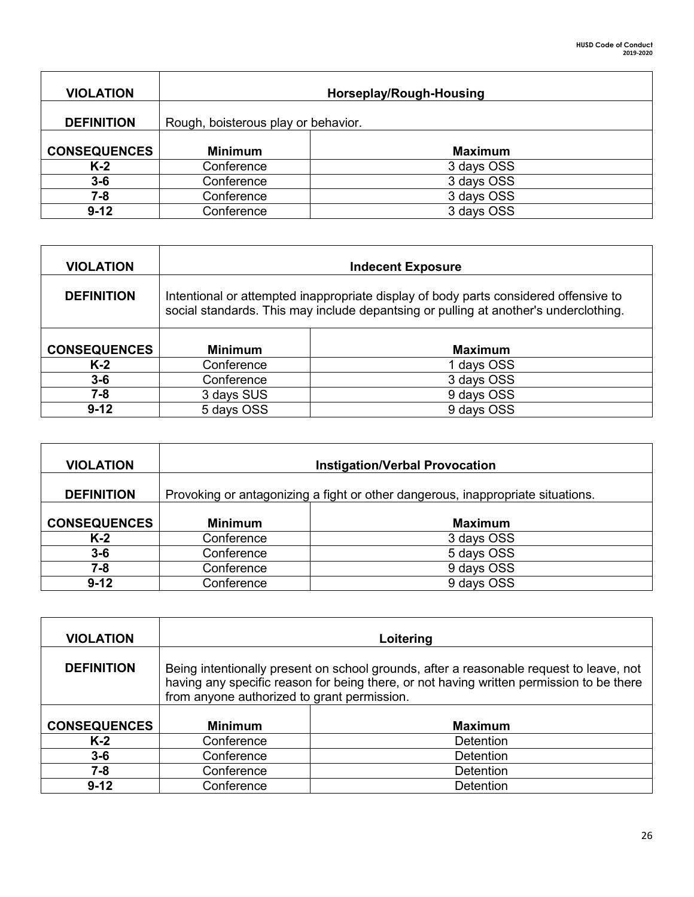| <b>VIOLATION</b>    | Horseplay/Rough-Housing             |                |
|---------------------|-------------------------------------|----------------|
| <b>DEFINITION</b>   | Rough, boisterous play or behavior. |                |
| <b>CONSEQUENCES</b> | <b>Minimum</b>                      | <b>Maximum</b> |
| $K-2$               | Conference                          | 3 days OSS     |
| $3-6$               | Conference                          | 3 days OSS     |
| 7-8                 | Conference                          | 3 days OSS     |
| $9 - 12$            | Conference                          | 3 days OSS     |

| <b>VIOLATION</b>    |                                                                                                                                                                              | <b>Indecent Exposure</b> |
|---------------------|------------------------------------------------------------------------------------------------------------------------------------------------------------------------------|--------------------------|
| <b>DEFINITION</b>   | Intentional or attempted inappropriate display of body parts considered offensive to<br>social standards. This may include depantsing or pulling at another's underclothing. |                          |
| <b>CONSEQUENCES</b> | <b>Minimum</b>                                                                                                                                                               | <b>Maximum</b>           |
| $K-2$               | Conference                                                                                                                                                                   | 1 days OSS               |
| $3 - 6$             | Conference                                                                                                                                                                   | 3 days OSS               |
| $7 - 8$             | 3 days SUS                                                                                                                                                                   | 9 days OSS               |
| $9 - 12$            | 5 days OSS                                                                                                                                                                   | 9 days OSS               |

| <b>VIOLATION</b>    | <b>Instigation/Verbal Provocation</b>                                           |                |
|---------------------|---------------------------------------------------------------------------------|----------------|
| <b>DEFINITION</b>   | Provoking or antagonizing a fight or other dangerous, inappropriate situations. |                |
| <b>CONSEQUENCES</b> | <b>Minimum</b>                                                                  | <b>Maximum</b> |
| $K-2$               | Conference                                                                      | 3 days OSS     |
| $3 - 6$             | Conference                                                                      | 5 days OSS     |
| 7-8                 | Conference                                                                      | 9 days OSS     |
| $9 - 12$            | Conference                                                                      | 9 days OSS     |

| <b>VIOLATION</b>    | Loitering                                                                                                                                                                                                                          |                  |
|---------------------|------------------------------------------------------------------------------------------------------------------------------------------------------------------------------------------------------------------------------------|------------------|
| <b>DEFINITION</b>   | Being intentionally present on school grounds, after a reasonable request to leave, not<br>having any specific reason for being there, or not having written permission to be there<br>from anyone authorized to grant permission. |                  |
| <b>CONSEQUENCES</b> | <b>Minimum</b>                                                                                                                                                                                                                     | <b>Maximum</b>   |
| $K-2$               | Conference                                                                                                                                                                                                                         | <b>Detention</b> |
| $3-6$               | Conference                                                                                                                                                                                                                         | Detention        |
| 7-8                 | Conference                                                                                                                                                                                                                         | Detention        |
| $9 - 12$            | Conference                                                                                                                                                                                                                         | Detention        |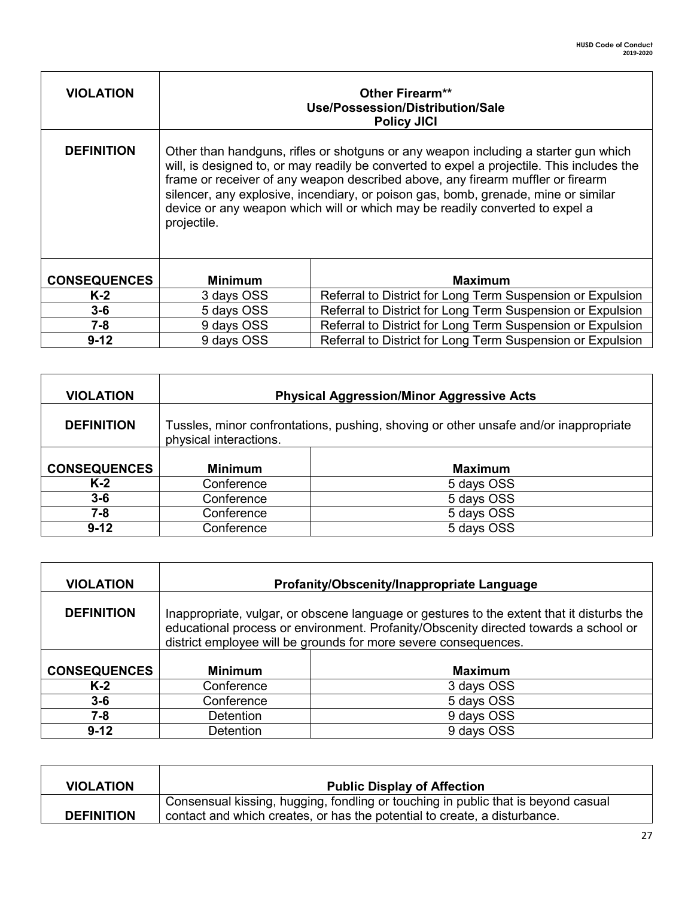| <b>VIOLATION</b>    | Other Firearm**<br>Use/Possession/Distribution/Sale<br><b>Policy JICI</b>                                                                                                                                                                                                                                                                                                                                                                                 |                                                            |
|---------------------|-----------------------------------------------------------------------------------------------------------------------------------------------------------------------------------------------------------------------------------------------------------------------------------------------------------------------------------------------------------------------------------------------------------------------------------------------------------|------------------------------------------------------------|
| <b>DEFINITION</b>   | Other than handguns, rifles or shotguns or any weapon including a starter gun which<br>will, is designed to, or may readily be converted to expel a projectile. This includes the<br>frame or receiver of any weapon described above, any firearm muffler or firearm<br>silencer, any explosive, incendiary, or poison gas, bomb, grenade, mine or similar<br>device or any weapon which will or which may be readily converted to expel a<br>projectile. |                                                            |
| <b>CONSEQUENCES</b> | <b>Minimum</b>                                                                                                                                                                                                                                                                                                                                                                                                                                            | <b>Maximum</b>                                             |
| $K-2$               | 3 days OSS                                                                                                                                                                                                                                                                                                                                                                                                                                                | Referral to District for Long Term Suspension or Expulsion |
| $3-6$               | 5 days OSS                                                                                                                                                                                                                                                                                                                                                                                                                                                | Referral to District for Long Term Suspension or Expulsion |
| $7 - 8$             | 9 days OSS                                                                                                                                                                                                                                                                                                                                                                                                                                                | Referral to District for Long Term Suspension or Expulsion |
| $9 - 12$            | 9 days OSS                                                                                                                                                                                                                                                                                                                                                                                                                                                | Referral to District for Long Term Suspension or Expulsion |

 $\mathbf{r}$ 

| <b>VIOLATION</b>    |                                                                                                                | <b>Physical Aggression/Minor Aggressive Acts</b> |
|---------------------|----------------------------------------------------------------------------------------------------------------|--------------------------------------------------|
| <b>DEFINITION</b>   | Tussles, minor confrontations, pushing, shoving or other unsafe and/or inappropriate<br>physical interactions. |                                                  |
|                     |                                                                                                                |                                                  |
| <b>CONSEQUENCES</b> | <b>Minimum</b>                                                                                                 | <b>Maximum</b>                                   |
| $K-2$               | Conference                                                                                                     | 5 days OSS                                       |
| $3-6$               | Conference                                                                                                     | 5 days OSS                                       |
| 7-8                 | Conference                                                                                                     | 5 days OSS                                       |
| $9 - 12$            | Conference                                                                                                     | 5 days OSS                                       |

| <b>VIOLATION</b>    |                                                                                                                                                                                                                                                      | Profanity/Obscenity/Inappropriate Language |
|---------------------|------------------------------------------------------------------------------------------------------------------------------------------------------------------------------------------------------------------------------------------------------|--------------------------------------------|
| <b>DEFINITION</b>   | Inappropriate, vulgar, or obscene language or gestures to the extent that it disturbs the<br>educational process or environment. Profanity/Obscenity directed towards a school or<br>district employee will be grounds for more severe consequences. |                                            |
| <b>CONSEQUENCES</b> | <b>Minimum</b>                                                                                                                                                                                                                                       | <b>Maximum</b>                             |
| $K-2$               | Conference                                                                                                                                                                                                                                           | 3 days OSS                                 |
| $3 - 6$             | Conference                                                                                                                                                                                                                                           | 5 days OSS                                 |
| 7-8                 | <b>Detention</b>                                                                                                                                                                                                                                     | 9 days OSS                                 |
| $9 - 12$            | Detention                                                                                                                                                                                                                                            | 9 days OSS                                 |

| <b>VIOLATION</b>  | <b>Public Display of Affection</b>                                                |
|-------------------|-----------------------------------------------------------------------------------|
|                   | Consensual kissing, hugging, fondling or touching in public that is beyond casual |
| <b>DEFINITION</b> | contact and which creates, or has the potential to create, a disturbance.         |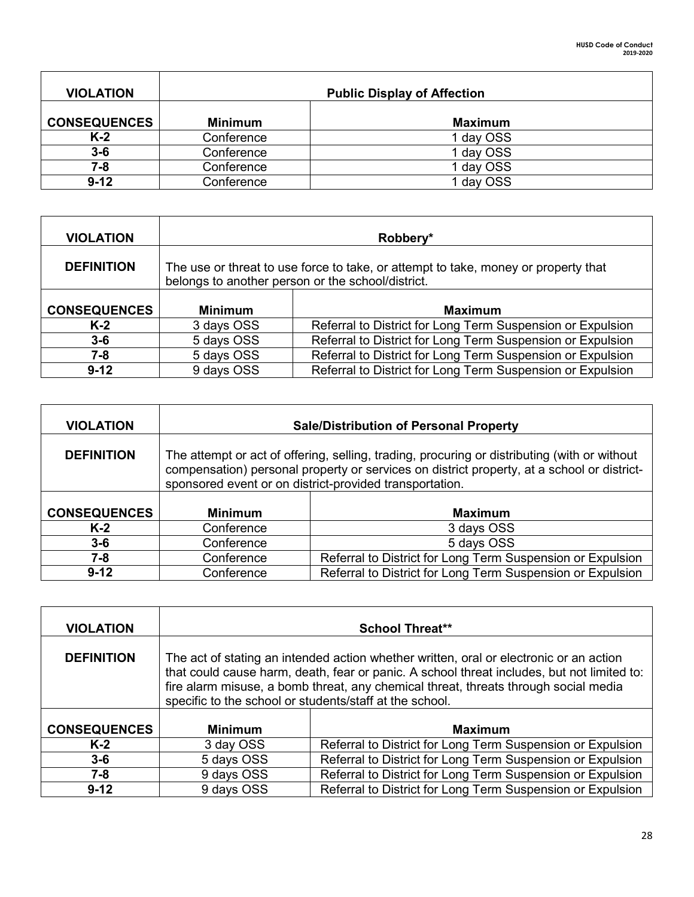| <b>VIOLATION</b>    |                | <b>Public Display of Affection</b> |
|---------------------|----------------|------------------------------------|
| <b>CONSEQUENCES</b> | <b>Minimum</b> | <b>Maximum</b>                     |
| $K-2$               | Conference     | 1 day OSS                          |
| $3-6$               | Conference     | 1 day OSS                          |
| 7-8                 | Conference     | 1 day OSS                          |
| $9-12$              | Conference     | 1 day OSS                          |

| <b>VIOLATION</b>    |                                                                                                                                         | Robbery*                                                   |
|---------------------|-----------------------------------------------------------------------------------------------------------------------------------------|------------------------------------------------------------|
| <b>DEFINITION</b>   | The use or threat to use force to take, or attempt to take, money or property that<br>belongs to another person or the school/district. |                                                            |
|                     |                                                                                                                                         |                                                            |
| <b>CONSEQUENCES</b> | <b>Minimum</b>                                                                                                                          | <b>Maximum</b>                                             |
| $K-2$               | 3 days OSS                                                                                                                              | Referral to District for Long Term Suspension or Expulsion |
| $3 - 6$             | 5 days OSS                                                                                                                              | Referral to District for Long Term Suspension or Expulsion |
| 7-8                 | 5 days OSS                                                                                                                              | Referral to District for Long Term Suspension or Expulsion |
|                     |                                                                                                                                         |                                                            |

| <b>VIOLATION</b>    |                                                                                                                                                                                                                                                       | <b>Sale/Distribution of Personal Property</b>              |
|---------------------|-------------------------------------------------------------------------------------------------------------------------------------------------------------------------------------------------------------------------------------------------------|------------------------------------------------------------|
| <b>DEFINITION</b>   | The attempt or act of offering, selling, trading, procuring or distributing (with or without<br>compensation) personal property or services on district property, at a school or district-<br>sponsored event or on district-provided transportation. |                                                            |
| <b>CONSEQUENCES</b> | <b>Minimum</b>                                                                                                                                                                                                                                        | <b>Maximum</b>                                             |
| $K-2$               | Conference                                                                                                                                                                                                                                            | 3 days OSS                                                 |
| $3 - 6$             | Conference                                                                                                                                                                                                                                            | 5 days OSS                                                 |
| 7-8                 | Conference                                                                                                                                                                                                                                            | Referral to District for Long Term Suspension or Expulsion |
| $9 - 12$            | Conference                                                                                                                                                                                                                                            | Referral to District for Long Term Suspension or Expulsion |

| <b>VIOLATION</b>    |                                                                                                                                                                                                                                                                                                                                        | <b>School Threat**</b>                                     |
|---------------------|----------------------------------------------------------------------------------------------------------------------------------------------------------------------------------------------------------------------------------------------------------------------------------------------------------------------------------------|------------------------------------------------------------|
| <b>DEFINITION</b>   | The act of stating an intended action whether written, oral or electronic or an action<br>that could cause harm, death, fear or panic. A school threat includes, but not limited to:<br>fire alarm misuse, a bomb threat, any chemical threat, threats through social media<br>specific to the school or students/staff at the school. |                                                            |
| <b>CONSEQUENCES</b> | <b>Minimum</b>                                                                                                                                                                                                                                                                                                                         | <b>Maximum</b>                                             |
| $K-2$               | 3 day OSS                                                                                                                                                                                                                                                                                                                              | Referral to District for Long Term Suspension or Expulsion |
| $3 - 6$             | 5 days OSS                                                                                                                                                                                                                                                                                                                             | Referral to District for Long Term Suspension or Expulsion |
| 7-8                 | 9 days OSS                                                                                                                                                                                                                                                                                                                             | Referral to District for Long Term Suspension or Expulsion |
| $9 - 12$            | 9 days OSS                                                                                                                                                                                                                                                                                                                             | Referral to District for Long Term Suspension or Expulsion |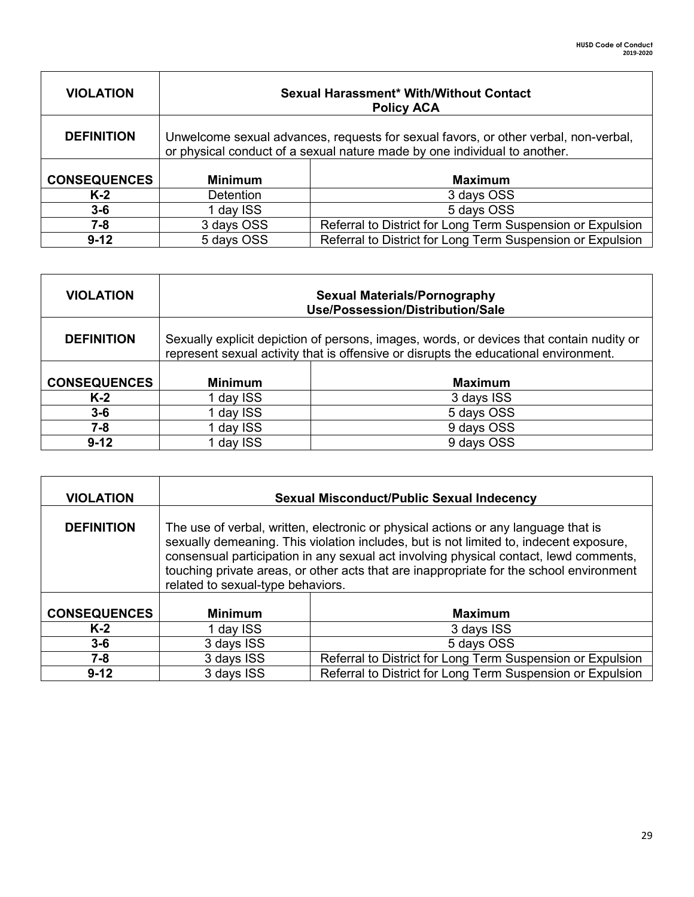| <b>VIOLATION</b>    | <b>Sexual Harassment* With/Without Contact</b><br><b>Policy ACA</b>                                                                                              |                                                            |
|---------------------|------------------------------------------------------------------------------------------------------------------------------------------------------------------|------------------------------------------------------------|
| <b>DEFINITION</b>   | Unwelcome sexual advances, requests for sexual favors, or other verbal, non-verbal,<br>or physical conduct of a sexual nature made by one individual to another. |                                                            |
| <b>CONSEQUENCES</b> | <b>Minimum</b>                                                                                                                                                   | <b>Maximum</b>                                             |
| $K-2$               | <b>Detention</b>                                                                                                                                                 | 3 days OSS                                                 |
| $3 - 6$             | 1 day ISS                                                                                                                                                        | 5 days OSS                                                 |
| $7 - 8$             | 3 days OSS                                                                                                                                                       | Referral to District for Long Term Suspension or Expulsion |
| $9 - 12$            | 5 days OSS                                                                                                                                                       | Referral to District for Long Term Suspension or Expulsion |

| <b>VIOLATION</b>    | <b>Sexual Materials/Pornography</b><br>Use/Possession/Distribution/Sale                                                                                                          |                |
|---------------------|----------------------------------------------------------------------------------------------------------------------------------------------------------------------------------|----------------|
| <b>DEFINITION</b>   | Sexually explicit depiction of persons, images, words, or devices that contain nudity or<br>represent sexual activity that is offensive or disrupts the educational environment. |                |
| <b>CONSEQUENCES</b> | <b>Minimum</b>                                                                                                                                                                   | <b>Maximum</b> |
| $K-2$               | 1 day ISS                                                                                                                                                                        | 3 days ISS     |
| $3-6$               | I day ISS                                                                                                                                                                        | 5 days OSS     |
| 7-8                 | 1 day ISS                                                                                                                                                                        | 9 days OSS     |
| $9 - 12$            | day ISS                                                                                                                                                                          | 9 days OSS     |

| <b>VIOLATION</b>    | <b>Sexual Misconduct/Public Sexual Indecency</b>                                                                                                                                                                                                                                                                                                                                                      |                                                            |
|---------------------|-------------------------------------------------------------------------------------------------------------------------------------------------------------------------------------------------------------------------------------------------------------------------------------------------------------------------------------------------------------------------------------------------------|------------------------------------------------------------|
| <b>DEFINITION</b>   | The use of verbal, written, electronic or physical actions or any language that is<br>sexually demeaning. This violation includes, but is not limited to, indecent exposure,<br>consensual participation in any sexual act involving physical contact, lewd comments,<br>touching private areas, or other acts that are inappropriate for the school environment<br>related to sexual-type behaviors. |                                                            |
| <b>CONSEQUENCES</b> | <b>Minimum</b><br><b>Maximum</b>                                                                                                                                                                                                                                                                                                                                                                      |                                                            |
| $K-2$               | 1 day ISS                                                                                                                                                                                                                                                                                                                                                                                             | 3 days ISS                                                 |
| $3-6$               | 3 days ISS                                                                                                                                                                                                                                                                                                                                                                                            | 5 days OSS                                                 |
| $7 - 8$             | 3 days ISS                                                                                                                                                                                                                                                                                                                                                                                            | Referral to District for Long Term Suspension or Expulsion |
| $9 - 12$            | 3 days ISS                                                                                                                                                                                                                                                                                                                                                                                            | Referral to District for Long Term Suspension or Expulsion |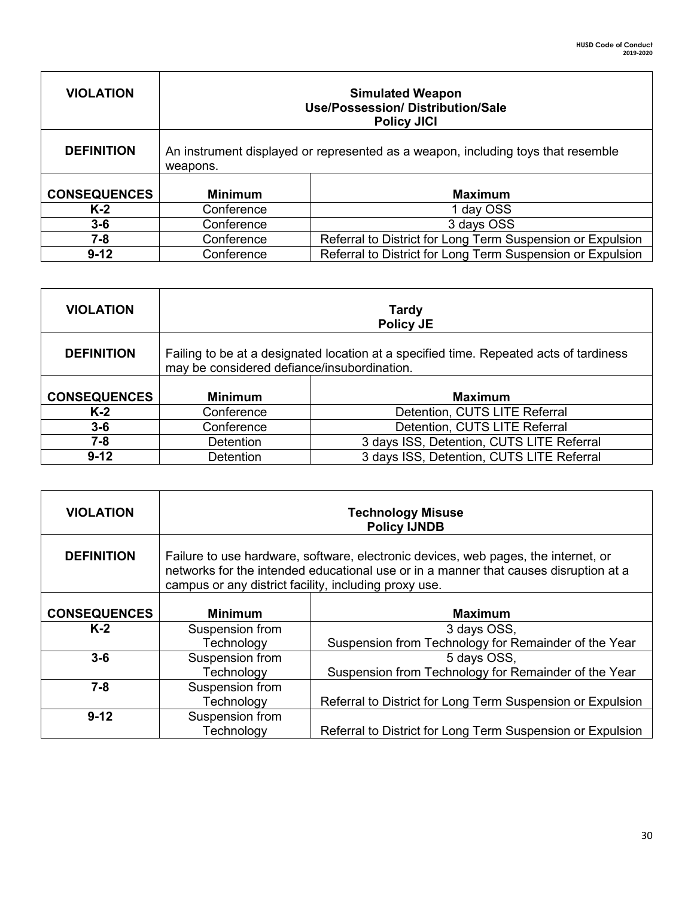| <b>VIOLATION</b>    | <b>Simulated Weapon</b><br><b>Use/Possession/ Distribution/Sale</b><br><b>Policy JICI</b>    |                                                            |
|---------------------|----------------------------------------------------------------------------------------------|------------------------------------------------------------|
| <b>DEFINITION</b>   | An instrument displayed or represented as a weapon, including toys that resemble<br>weapons. |                                                            |
| <b>CONSEQUENCES</b> | <b>Minimum</b>                                                                               | <b>Maximum</b>                                             |
| $K-2$               | Conference                                                                                   | 1 day OSS                                                  |
| $3-6$               | Conference                                                                                   | 3 days OSS                                                 |
| 7-8                 | Conference                                                                                   | Referral to District for Long Term Suspension or Expulsion |
| $9-12$              | Conference                                                                                   | Referral to District for Long Term Suspension or Expulsion |

Г

| <b>VIOLATION</b>    | <b>Tardy</b><br><b>Policy JE</b>                                                                                                      |                                           |
|---------------------|---------------------------------------------------------------------------------------------------------------------------------------|-------------------------------------------|
| <b>DEFINITION</b>   | Failing to be at a designated location at a specified time. Repeated acts of tardiness<br>may be considered defiance/insubordination. |                                           |
| <b>CONSEQUENCES</b> | <b>Minimum</b>                                                                                                                        | <b>Maximum</b>                            |
| $K-2$               | Conference                                                                                                                            | Detention, CUTS LITE Referral             |
| $3-6$               | Conference                                                                                                                            | Detention, CUTS LITE Referral             |
| $7 - 8$             | Detention                                                                                                                             | 3 days ISS, Detention, CUTS LITE Referral |
| $9-12$              | Detention                                                                                                                             | 3 days ISS, Detention, CUTS LITE Referral |

| <b>VIOLATION</b>    | <b>Technology Misuse</b><br><b>Policy IJNDB</b>                                                                                                                                                                                     |                                                            |
|---------------------|-------------------------------------------------------------------------------------------------------------------------------------------------------------------------------------------------------------------------------------|------------------------------------------------------------|
| <b>DEFINITION</b>   | Failure to use hardware, software, electronic devices, web pages, the internet, or<br>networks for the intended educational use or in a manner that causes disruption at a<br>campus or any district facility, including proxy use. |                                                            |
|                     |                                                                                                                                                                                                                                     |                                                            |
| <b>CONSEQUENCES</b> | <b>Minimum</b>                                                                                                                                                                                                                      | <b>Maximum</b>                                             |
| $K-2$               | Suspension from<br>3 days OSS,                                                                                                                                                                                                      |                                                            |
|                     | Technology                                                                                                                                                                                                                          | Suspension from Technology for Remainder of the Year       |
| $3-6$               | Suspension from<br>5 days OSS,                                                                                                                                                                                                      |                                                            |
|                     | Technology                                                                                                                                                                                                                          | Suspension from Technology for Remainder of the Year       |
| $7 - 8$             | Suspension from                                                                                                                                                                                                                     |                                                            |
|                     | Technology                                                                                                                                                                                                                          | Referral to District for Long Term Suspension or Expulsion |
| $9 - 12$            | Suspension from                                                                                                                                                                                                                     |                                                            |
|                     | Technology                                                                                                                                                                                                                          | Referral to District for Long Term Suspension or Expulsion |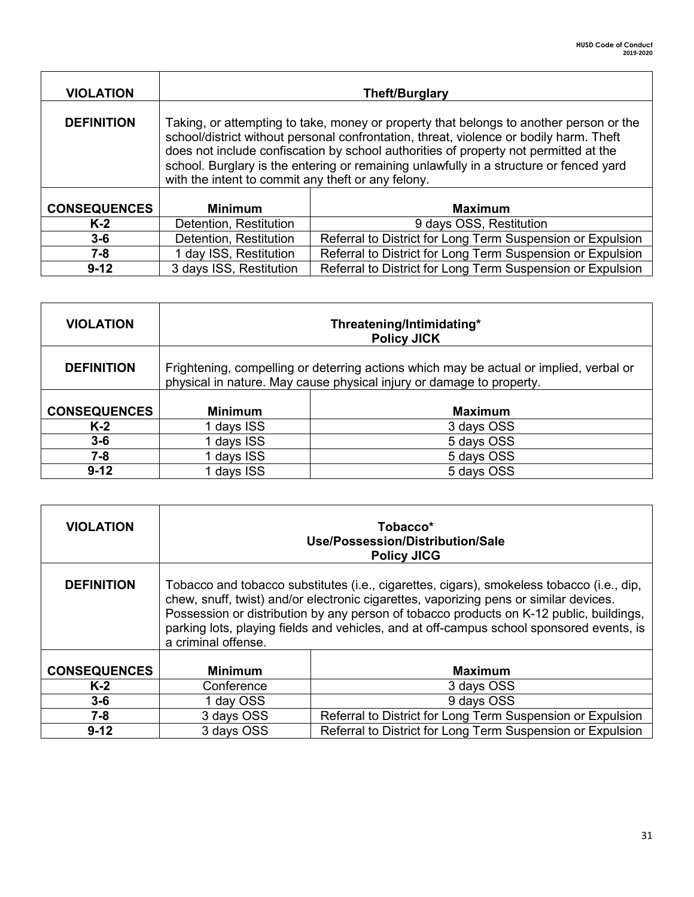| <b>VIOLATION</b>    | <b>Theft/Burglary</b>                                                                                                                                                                                                                                                                                                                                                                                                    |                                                            |
|---------------------|--------------------------------------------------------------------------------------------------------------------------------------------------------------------------------------------------------------------------------------------------------------------------------------------------------------------------------------------------------------------------------------------------------------------------|------------------------------------------------------------|
| <b>DEFINITION</b>   | Taking, or attempting to take, money or property that belongs to another person or the<br>school/district without personal confrontation, threat, violence or bodily harm. Theft<br>does not include confiscation by school authorities of property not permitted at the<br>school. Burglary is the entering or remaining unlawfully in a structure or fenced yard<br>with the intent to commit any theft or any felony. |                                                            |
| <b>CONSEQUENCES</b> | <b>Minimum</b><br><b>Maximum</b>                                                                                                                                                                                                                                                                                                                                                                                         |                                                            |
| $K-2$               | Detention, Restitution                                                                                                                                                                                                                                                                                                                                                                                                   | 9 days OSS, Restitution                                    |
| $3 - 6$             | Detention, Restitution                                                                                                                                                                                                                                                                                                                                                                                                   | Referral to District for Long Term Suspension or Expulsion |
| $7 - 8$             | Referral to District for Long Term Suspension or Expulsion<br>1 day ISS, Restitution                                                                                                                                                                                                                                                                                                                                     |                                                            |
| $9 - 12$            | 3 days ISS, Restitution                                                                                                                                                                                                                                                                                                                                                                                                  | Referral to District for Long Term Suspension or Expulsion |

| <b>VIOLATION</b>    | Threatening/Intimidating*<br><b>Policy JICK</b>                                                                                                                |            |
|---------------------|----------------------------------------------------------------------------------------------------------------------------------------------------------------|------------|
| <b>DEFINITION</b>   | Frightening, compelling or deterring actions which may be actual or implied, verbal or<br>physical in nature. May cause physical injury or damage to property. |            |
| <b>CONSEQUENCES</b> | <b>Minimum</b><br><b>Maximum</b>                                                                                                                               |            |
| $K-2$               | 1 days ISS                                                                                                                                                     | 3 days OSS |
| $3-6$               | days ISS                                                                                                                                                       | 5 days OSS |
| 7-8                 | days ISS                                                                                                                                                       | 5 days OSS |
| $9 - 12$            | days ISS                                                                                                                                                       | 5 days OSS |

| <b>VIOLATION</b>    | Tobacco*<br>Use/Possession/Distribution/Sale<br><b>Policy JICG</b>                                                                                                                                                                                                                                                                                                                               |                                                            |
|---------------------|--------------------------------------------------------------------------------------------------------------------------------------------------------------------------------------------------------------------------------------------------------------------------------------------------------------------------------------------------------------------------------------------------|------------------------------------------------------------|
| <b>DEFINITION</b>   | Tobacco and tobacco substitutes (i.e., cigarettes, cigars), smokeless tobacco (i.e., dip,<br>chew, snuff, twist) and/or electronic cigarettes, vaporizing pens or similar devices.<br>Possession or distribution by any person of tobacco products on K-12 public, buildings,<br>parking lots, playing fields and vehicles, and at off-campus school sponsored events, is<br>a criminal offense. |                                                            |
| <b>CONSEQUENCES</b> | <b>Minimum</b>                                                                                                                                                                                                                                                                                                                                                                                   | <b>Maximum</b>                                             |
| $K-2$               | Conference                                                                                                                                                                                                                                                                                                                                                                                       | 3 days OSS                                                 |
| $3-6$               | 1 day OSS                                                                                                                                                                                                                                                                                                                                                                                        | 9 days OSS                                                 |
| $7 - 8$             | 3 days OSS                                                                                                                                                                                                                                                                                                                                                                                       | Referral to District for Long Term Suspension or Expulsion |
| $9 - 12$            | 3 days OSS                                                                                                                                                                                                                                                                                                                                                                                       | Referral to District for Long Term Suspension or Expulsion |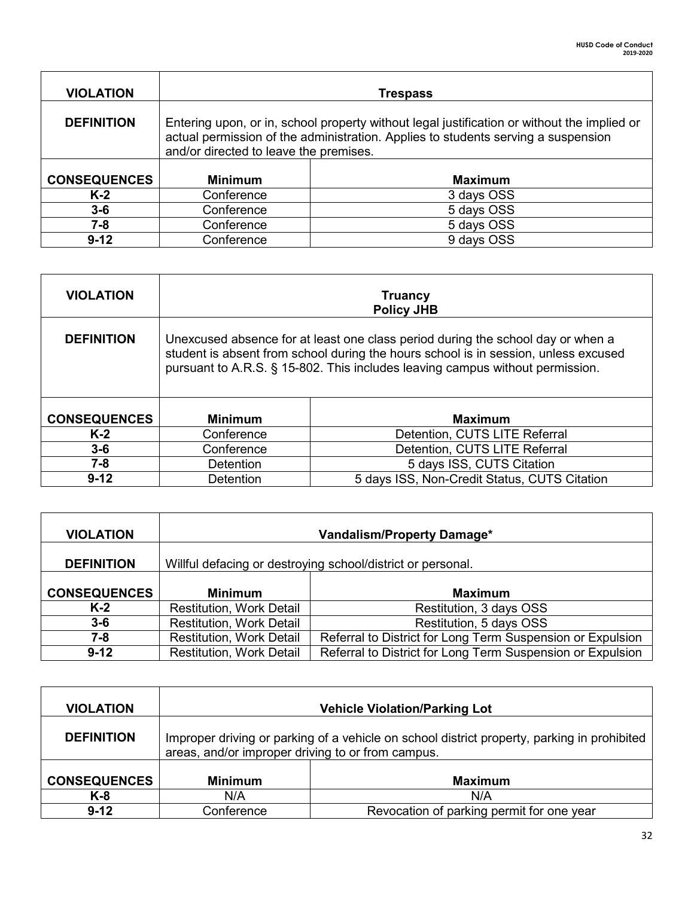| <b>VIOLATION</b>    |                                                                                                                                                                                                                            | <b>Trespass</b> |
|---------------------|----------------------------------------------------------------------------------------------------------------------------------------------------------------------------------------------------------------------------|-----------------|
| <b>DEFINITION</b>   | Entering upon, or in, school property without legal justification or without the implied or<br>actual permission of the administration. Applies to students serving a suspension<br>and/or directed to leave the premises. |                 |
| <b>CONSEQUENCES</b> | <b>Minimum</b><br><b>Maximum</b>                                                                                                                                                                                           |                 |
| $K-2$               | Conference                                                                                                                                                                                                                 | 3 days OSS      |
| $3 - 6$             | Conference                                                                                                                                                                                                                 | 5 days OSS      |
| $7 - 8$             | Conference                                                                                                                                                                                                                 | 5 days OSS      |
| $9 - 12$            | Conference                                                                                                                                                                                                                 | 9 days OSS      |

| <b>VIOLATION</b>    | <b>Truancy</b><br><b>Policy JHB</b>                                                                                                                                                                                                                     |                                              |  |
|---------------------|---------------------------------------------------------------------------------------------------------------------------------------------------------------------------------------------------------------------------------------------------------|----------------------------------------------|--|
| <b>DEFINITION</b>   | Unexcused absence for at least one class period during the school day or when a<br>student is absent from school during the hours school is in session, unless excused<br>pursuant to A.R.S. § 15-802. This includes leaving campus without permission. |                                              |  |
| <b>CONSEQUENCES</b> | <b>Minimum</b><br><b>Maximum</b>                                                                                                                                                                                                                        |                                              |  |
| $K-2$               | Conference                                                                                                                                                                                                                                              | Detention, CUTS LITE Referral                |  |
| $3-6$               | Conference                                                                                                                                                                                                                                              | Detention, CUTS LITE Referral                |  |
| 7-8                 | 5 days ISS, CUTS Citation<br>Detention                                                                                                                                                                                                                  |                                              |  |
| $9 - 12$            | Detention                                                                                                                                                                                                                                               | 5 days ISS, Non-Credit Status, CUTS Citation |  |

| <b>VIOLATION</b>    | <b>Vandalism/Property Damage*</b>                           |                                                            |
|---------------------|-------------------------------------------------------------|------------------------------------------------------------|
| <b>DEFINITION</b>   | Willful defacing or destroying school/district or personal. |                                                            |
| <b>CONSEQUENCES</b> | <b>Minimum</b>                                              | <b>Maximum</b>                                             |
| $K-2$               | <b>Restitution, Work Detail</b>                             | Restitution, 3 days OSS                                    |
| $3 - 6$             | <b>Restitution, Work Detail</b>                             | Restitution, 5 days OSS                                    |
| 7-8                 | <b>Restitution, Work Detail</b>                             | Referral to District for Long Term Suspension or Expulsion |
| $9 - 12$            | <b>Restitution, Work Detail</b>                             | Referral to District for Long Term Suspension or Expulsion |

| <b>VIOLATION</b>    | <b>Vehicle Violation/Parking Lot</b>                                                                                                             |                |
|---------------------|--------------------------------------------------------------------------------------------------------------------------------------------------|----------------|
| <b>DEFINITION</b>   | Improper driving or parking of a vehicle on school district property, parking in prohibited<br>areas, and/or improper driving to or from campus. |                |
| <b>CONSEQUENCES</b> | <b>Minimum</b>                                                                                                                                   | <b>Maximum</b> |
| K-8                 | N/A                                                                                                                                              | N/A            |
| $9 - 12$            | Revocation of parking permit for one year<br>Conference                                                                                          |                |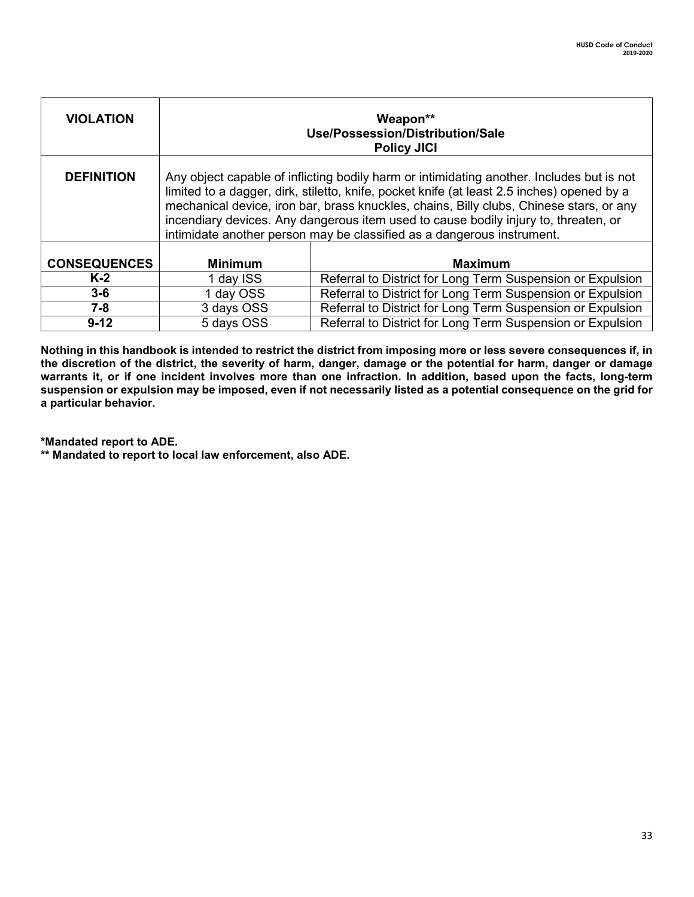| <b>VIOLATION</b>    | Weapon**<br>Use/Possession/Distribution/Sale<br><b>Policy JICI</b>                                                                                                                                                                                                                                                                                                                                                                                  |                                                            |
|---------------------|-----------------------------------------------------------------------------------------------------------------------------------------------------------------------------------------------------------------------------------------------------------------------------------------------------------------------------------------------------------------------------------------------------------------------------------------------------|------------------------------------------------------------|
| <b>DEFINITION</b>   | Any object capable of inflicting bodily harm or intimidating another. Includes but is not<br>limited to a dagger, dirk, stiletto, knife, pocket knife (at least 2.5 inches) opened by a<br>mechanical device, iron bar, brass knuckles, chains, Billy clubs, Chinese stars, or any<br>incendiary devices. Any dangerous item used to cause bodily injury to, threaten, or<br>intimidate another person may be classified as a dangerous instrument. |                                                            |
| <b>CONSEQUENCES</b> | <b>Minimum</b>                                                                                                                                                                                                                                                                                                                                                                                                                                      | <b>Maximum</b>                                             |
| $K-2$               | 1 day ISS                                                                                                                                                                                                                                                                                                                                                                                                                                           | Referral to District for Long Term Suspension or Expulsion |
| $3-6$               | 1 day OSS                                                                                                                                                                                                                                                                                                                                                                                                                                           | Referral to District for Long Term Suspension or Expulsion |
| $7 - 8$             | 3 days OSS                                                                                                                                                                                                                                                                                                                                                                                                                                          | Referral to District for Long Term Suspension or Expulsion |
| $9 - 12$            | 5 days OSS                                                                                                                                                                                                                                                                                                                                                                                                                                          | Referral to District for Long Term Suspension or Expulsion |

**Nothing in this handbook is intended to restrict the district from imposing more or less severe consequences if, in the discretion of the district, the severity of harm, danger, damage or the potential for harm, danger or damage warrants it, or if one incident involves more than one infraction. In addition, based upon the facts, long-term suspension or expulsion may be imposed, even if not necessarily listed as a potential consequence on the grid for a particular behavior.** 

**\*Mandated report to ADE.**

**\*\* Mandated to report to local law enforcement, also ADE.**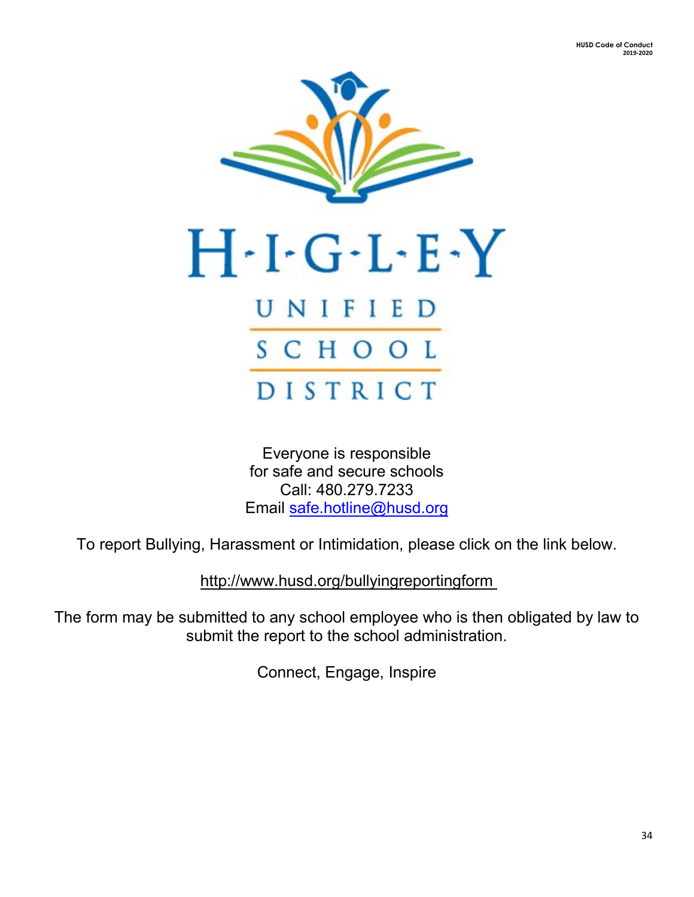

Everyone is responsible for safe and secure schools Call: 480.279.7233 Email [safe.hotline@husd.org](mailto:safe.hotline@husd.org)

To report Bullying, Harassment or Intimidation, please click on the link below.

http://www.husd.org/bullyingreportingform

The form may be submitted to any school employee who is then obligated by law to submit the report to the school administration.

Connect, Engage, Inspire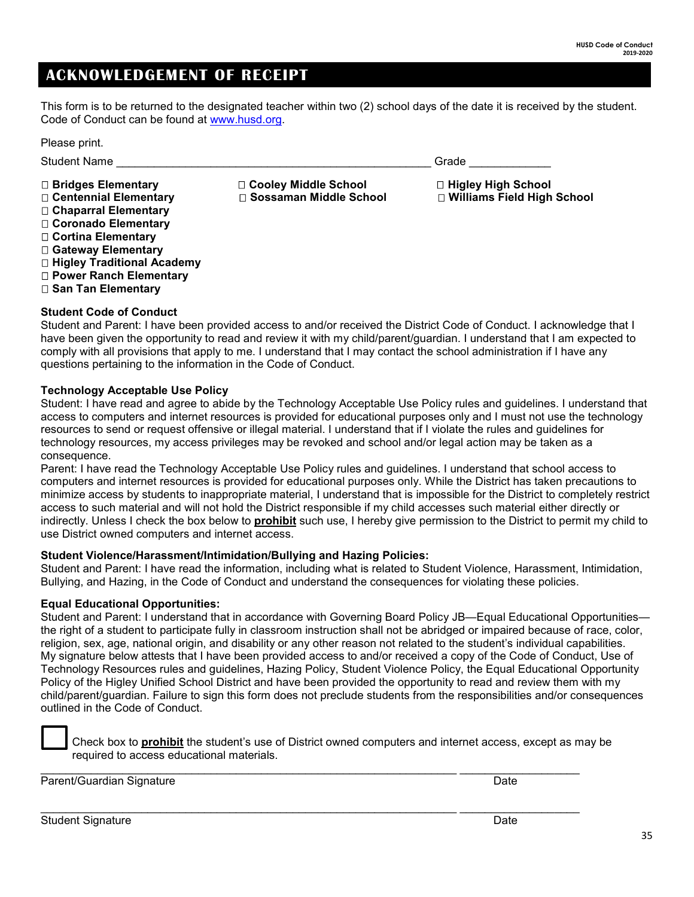### **ACKNOWLEDGEMENT OF RECEIPT**

This form is to be returned to the designated teacher within two (2) school days of the date it is received by the student. Code of Conduct can be found at [www.husd.org.](http://www.husd.org/)

| Please print.                                                                                                                                                                                                       |                                                    |                                                      |
|---------------------------------------------------------------------------------------------------------------------------------------------------------------------------------------------------------------------|----------------------------------------------------|------------------------------------------------------|
| <b>Student Name</b>                                                                                                                                                                                                 |                                                    | Grade                                                |
| $\Box$ Bridges Elementary<br>□ Centennial Elementary<br>□ Chaparral Elementary<br>□ Coronado Elementary<br>□ Cortina Elementary<br>□ Gateway Elementary<br>□ Higley Traditional Academy<br>□ Power Ranch Elementary | □ Cooley Middle School<br>□ Sossaman Middle School | □ Higley High School<br>□ Williams Field High School |

### **Student Code of Conduct**

**San Tan Elementary**

Student and Parent: I have been provided access to and/or received the District Code of Conduct. I acknowledge that I have been given the opportunity to read and review it with my child/parent/guardian. I understand that I am expected to comply with all provisions that apply to me. I understand that I may contact the school administration if I have any questions pertaining to the information in the Code of Conduct.

### **Technology Acceptable Use Policy**

Student: I have read and agree to abide by the Technology Acceptable Use Policy rules and guidelines. I understand that access to computers and internet resources is provided for educational purposes only and I must not use the technology resources to send or request offensive or illegal material. I understand that if I violate the rules and guidelines for technology resources, my access privileges may be revoked and school and/or legal action may be taken as a consequence.

Parent: I have read the Technology Acceptable Use Policy rules and guidelines. I understand that school access to computers and internet resources is provided for educational purposes only. While the District has taken precautions to minimize access by students to inappropriate material, I understand that is impossible for the District to completely restrict access to such material and will not hold the District responsible if my child accesses such material either directly or indirectly. Unless I check the box below to **prohibit** such use, I hereby give permission to the District to permit my child to use District owned computers and internet access.

### **Student Violence/Harassment/Intimidation/Bullying and Hazing Policies:**

Student and Parent: I have read the information, including what is related to Student Violence, Harassment, Intimidation, Bullying, and Hazing, in the Code of Conduct and understand the consequences for violating these policies.

### **Equal Educational Opportunities:**

Student and Parent: I understand that in accordance with Governing Board Policy JB—Equal Educational Opportunities the right of a student to participate fully in classroom instruction shall not be abridged or impaired because of race, color, religion, sex, age, national origin, and disability or any other reason not related to the student's individual capabilities. My signature below attests that I have been provided access to and/or received a copy of the Code of Conduct, Use of Technology Resources rules and guidelines, Hazing Policy, Student Violence Policy, the Equal Educational Opportunity Policy of the Higley Unified School District and have been provided the opportunity to read and review them with my child/parent/guardian. Failure to sign this form does not preclude students from the responsibilities and/or consequences outlined in the Code of Conduct.

Check box to **prohibit** the student's use of District owned computers and internet access, except as may be required to access educational materials.

\_\_\_\_\_\_\_\_\_\_\_\_\_\_\_\_\_\_\_\_\_\_\_\_\_\_\_\_\_\_\_\_\_\_\_\_\_\_\_\_\_\_\_\_\_\_\_\_\_\_\_\_\_\_\_\_\_\_\_\_\_\_\_\_\_\_ \_\_\_\_\_\_\_\_\_\_\_\_\_\_\_\_\_\_\_

\_\_\_\_\_\_\_\_\_\_\_\_\_\_\_\_\_\_\_\_\_\_\_\_\_\_\_\_\_\_\_\_\_\_\_\_\_\_\_\_\_\_\_\_\_\_\_\_\_\_\_\_\_\_\_\_\_\_\_\_\_\_\_\_\_\_ \_\_\_\_\_\_\_\_\_\_\_\_\_\_\_\_\_\_\_

Parent/Guardian Signature **Date of American State of American** Date Date Date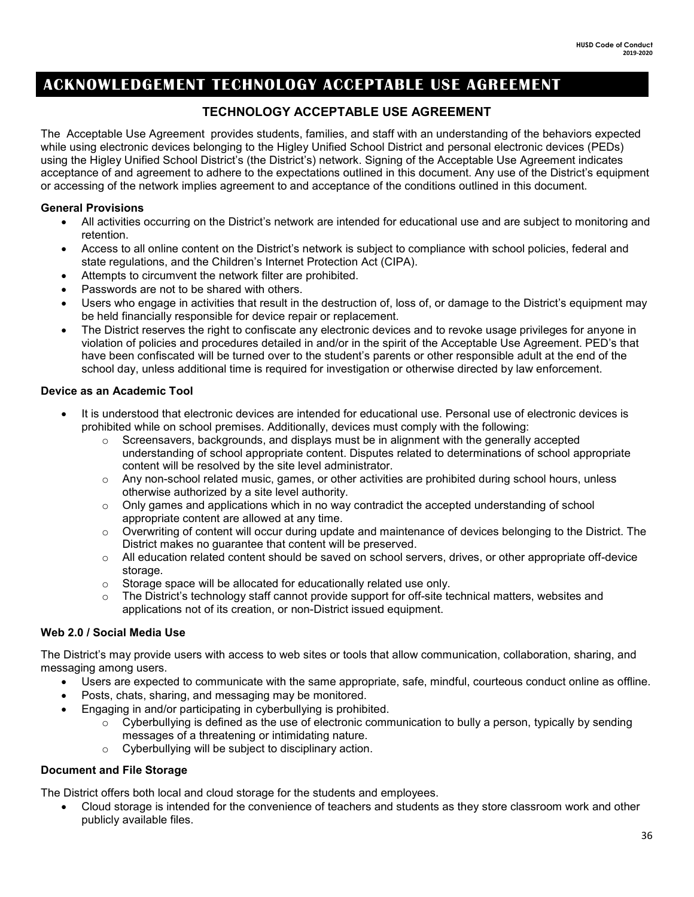### **ACKNOWLEDGEMENT TECHNOLOGY ACCEPTABLE USE AGREEMENT**

### **TECHNOLOGY ACCEPTABLE USE AGREEMENT**

The Acceptable Use Agreement provides students, families, and staff with an understanding of the behaviors expected while using electronic devices belonging to the Higley Unified School District and personal electronic devices (PEDs) using the Higley Unified School District's (the District's) network. Signing of the Acceptable Use Agreement indicates acceptance of and agreement to adhere to the expectations outlined in this document. Any use of the District's equipment or accessing of the network implies agreement to and acceptance of the conditions outlined in this document.

### **General Provisions**

- All activities occurring on the District's network are intended for educational use and are subject to monitoring and retention.
- Access to all online content on the District's network is subject to compliance with school policies, federal and state regulations, and the Children's Internet Protection Act (CIPA).
- Attempts to circumvent the network filter are prohibited.
- Passwords are not to be shared with others.
- Users who engage in activities that result in the destruction of, loss of, or damage to the District's equipment may be held financially responsible for device repair or replacement.
- The District reserves the right to confiscate any electronic devices and to revoke usage privileges for anyone in violation of policies and procedures detailed in and/or in the spirit of the Acceptable Use Agreement. PED's that have been confiscated will be turned over to the student's parents or other responsible adult at the end of the school day, unless additional time is required for investigation or otherwise directed by law enforcement.

### **Device as an Academic Tool**

- It is understood that electronic devices are intended for educational use. Personal use of electronic devices is prohibited while on school premises. Additionally, devices must comply with the following:
	- $\circ$  Screensavers, backgrounds, and displays must be in alignment with the generally accepted understanding of school appropriate content. Disputes related to determinations of school appropriate content will be resolved by the site level administrator.
	- o Any non-school related music, games, or other activities are prohibited during school hours, unless otherwise authorized by a site level authority.
	- $\circ$  Only games and applications which in no way contradict the accepted understanding of school appropriate content are allowed at any time.
	- o Overwriting of content will occur during update and maintenance of devices belonging to the District. The District makes no guarantee that content will be preserved.
	- $\circ$  All education related content should be saved on school servers, drives, or other appropriate off-device storage.
	- o Storage space will be allocated for educationally related use only.
	- $\circ$  The District's technology staff cannot provide support for off-site technical matters, websites and applications not of its creation, or non-District issued equipment.

### **Web 2.0 / Social Media Use**

The District's may provide users with access to web sites or tools that allow communication, collaboration, sharing, and messaging among users.

- Users are expected to communicate with the same appropriate, safe, mindful, courteous conduct online as offline.
- Posts, chats, sharing, and messaging may be monitored.
- Engaging in and/or participating in cyberbullying is prohibited.
	- $\circ$  Cyberbullying is defined as the use of electronic communication to bully a person, typically by sending messages of a threatening or intimidating nature.
	- o Cyberbullying will be subject to disciplinary action.

### **Document and File Storage**

The District offers both local and cloud storage for the students and employees.

• Cloud storage is intended for the convenience of teachers and students as they store classroom work and other publicly available files.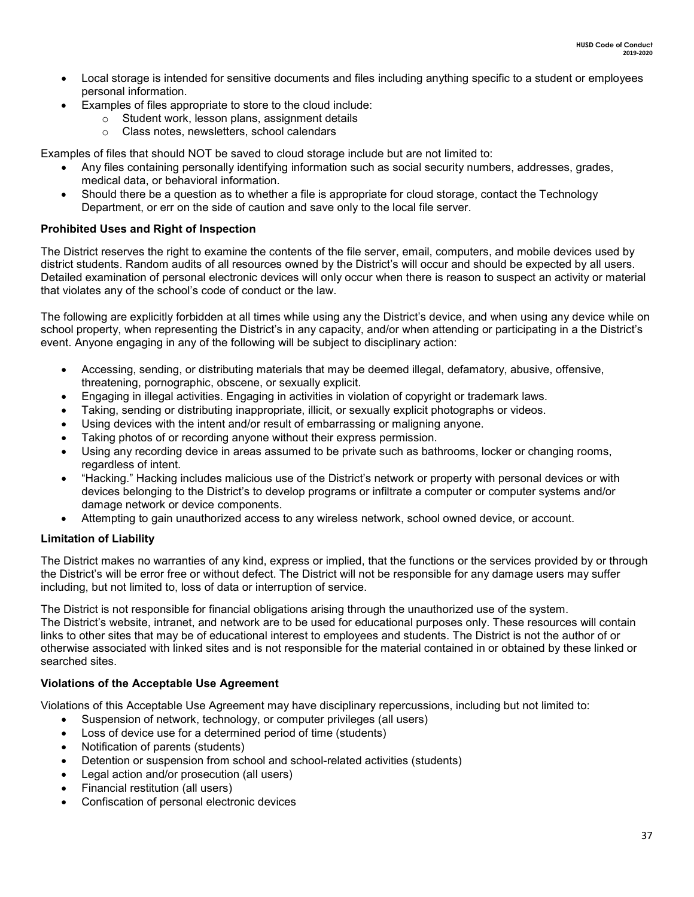- Local storage is intended for sensitive documents and files including anything specific to a student or employees personal information.
	- Examples of files appropriate to store to the cloud include:
		- $\circ$  Student work, lesson plans, assignment details<br> $\circ$  Class notes, newsletters, school calendars
		- Class notes, newsletters, school calendars

Examples of files that should NOT be saved to cloud storage include but are not limited to:

- Any files containing personally identifying information such as social security numbers, addresses, grades, medical data, or behavioral information.
- Should there be a question as to whether a file is appropriate for cloud storage, contact the Technology Department, or err on the side of caution and save only to the local file server.

### **Prohibited Uses and Right of Inspection**

The District reserves the right to examine the contents of the file server, email, computers, and mobile devices used by district students. Random audits of all resources owned by the District's will occur and should be expected by all users. Detailed examination of personal electronic devices will only occur when there is reason to suspect an activity or material that violates any of the school's code of conduct or the law.

The following are explicitly forbidden at all times while using any the District's device, and when using any device while on school property, when representing the District's in any capacity, and/or when attending or participating in a the District's event. Anyone engaging in any of the following will be subject to disciplinary action:

- Accessing, sending, or distributing materials that may be deemed illegal, defamatory, abusive, offensive, threatening, pornographic, obscene, or sexually explicit.
- Engaging in illegal activities. Engaging in activities in violation of copyright or trademark laws.
- Taking, sending or distributing inappropriate, illicit, or sexually explicit photographs or videos.
- Using devices with the intent and/or result of embarrassing or maligning anyone.
- Taking photos of or recording anyone without their express permission.
- Using any recording device in areas assumed to be private such as bathrooms, locker or changing rooms, regardless of intent.
- "Hacking." Hacking includes malicious use of the District's network or property with personal devices or with devices belonging to the District's to develop programs or infiltrate a computer or computer systems and/or damage network or device components.
- Attempting to gain unauthorized access to any wireless network, school owned device, or account.

### **Limitation of Liability**

The District makes no warranties of any kind, express or implied, that the functions or the services provided by or through the District's will be error free or without defect. The District will not be responsible for any damage users may suffer including, but not limited to, loss of data or interruption of service.

The District is not responsible for financial obligations arising through the unauthorized use of the system. The District's website, intranet, and network are to be used for educational purposes only. These resources will contain links to other sites that may be of educational interest to employees and students. The District is not the author of or otherwise associated with linked sites and is not responsible for the material contained in or obtained by these linked or searched sites.

### **Violations of the Acceptable Use Agreement**

Violations of this Acceptable Use Agreement may have disciplinary repercussions, including but not limited to:

- Suspension of network, technology, or computer privileges (all users)
- Loss of device use for a determined period of time (students)
- Notification of parents (students)
- Detention or suspension from school and school-related activities (students)
- Legal action and/or prosecution (all users)
- Financial restitution (all users)
- Confiscation of personal electronic devices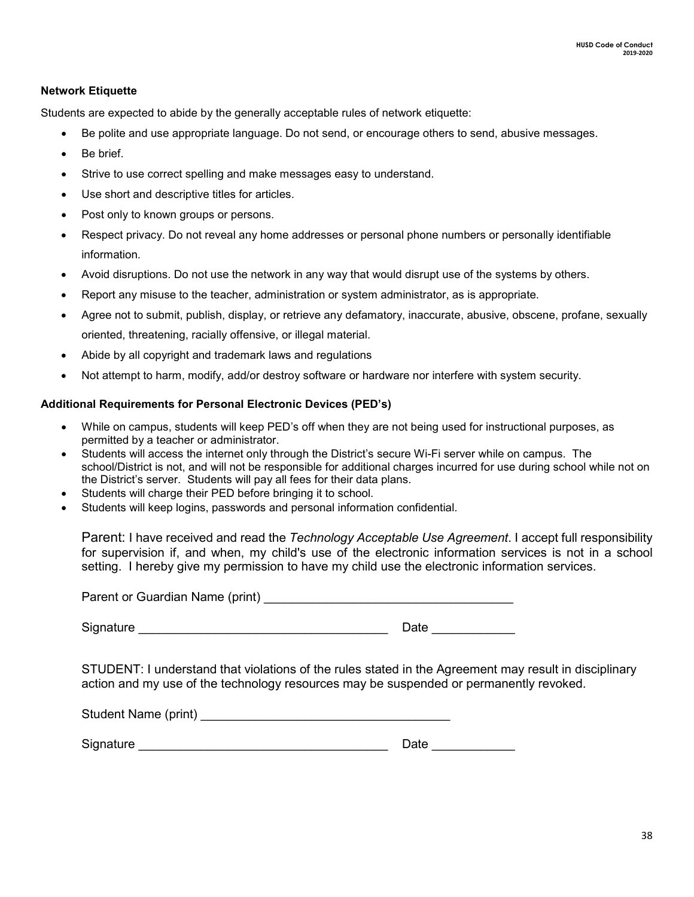### **Network Etiquette**

Students are expected to abide by the generally acceptable rules of network etiquette:

- Be polite and use appropriate language. Do not send, or encourage others to send, abusive messages.
- Be brief
- Strive to use correct spelling and make messages easy to understand.
- Use short and descriptive titles for articles.
- Post only to known groups or persons.
- Respect privacy. Do not reveal any home addresses or personal phone numbers or personally identifiable information.
- Avoid disruptions. Do not use the network in any way that would disrupt use of the systems by others.
- Report any misuse to the teacher, administration or system administrator, as is appropriate.
- Agree not to submit, publish, display, or retrieve any defamatory, inaccurate, abusive, obscene, profane, sexually oriented, threatening, racially offensive, or illegal material.
- Abide by all copyright and trademark laws and regulations
- Not attempt to harm, modify, add/or destroy software or hardware nor interfere with system security.

### **Additional Requirements for Personal Electronic Devices (PED's)**

- While on campus, students will keep PED's off when they are not being used for instructional purposes, as permitted by a teacher or administrator.
- Students will access the internet only through the District's secure Wi-Fi server while on campus. The school/District is not, and will not be responsible for additional charges incurred for use during school while not on the District's server. Students will pay all fees for their data plans.
- Students will charge their PED before bringing it to school.
- Students will keep logins, passwords and personal information confidential.

Parent: I have received and read the *Technology Acceptable Use Agreement*. I accept full responsibility for supervision if, and when, my child's use of the electronic information services is not in a school setting. I hereby give my permission to have my child use the electronic information services.

Signature **Example 20** Date **Line 20 Date** 20 Date 20 Date 20 Date 20 Date 20 Date 20 Date 20 Date 20 Date 20 Date 20 Date 20 Date 20 Date 20 Date 20 Date 20 Date 20 Date 20 Date 20 Date 20 Date 20 Date 20 Date 20 Date 20

STUDENT: I understand that violations of the rules stated in the Agreement may result in disciplinary action and my use of the technology resources may be suspended or permanently revoked.

| Student Name (print) |  |
|----------------------|--|
|----------------------|--|

 $\textsf{Signature} \_\_\_\_\_\_\_\_\_\_\_\_ \$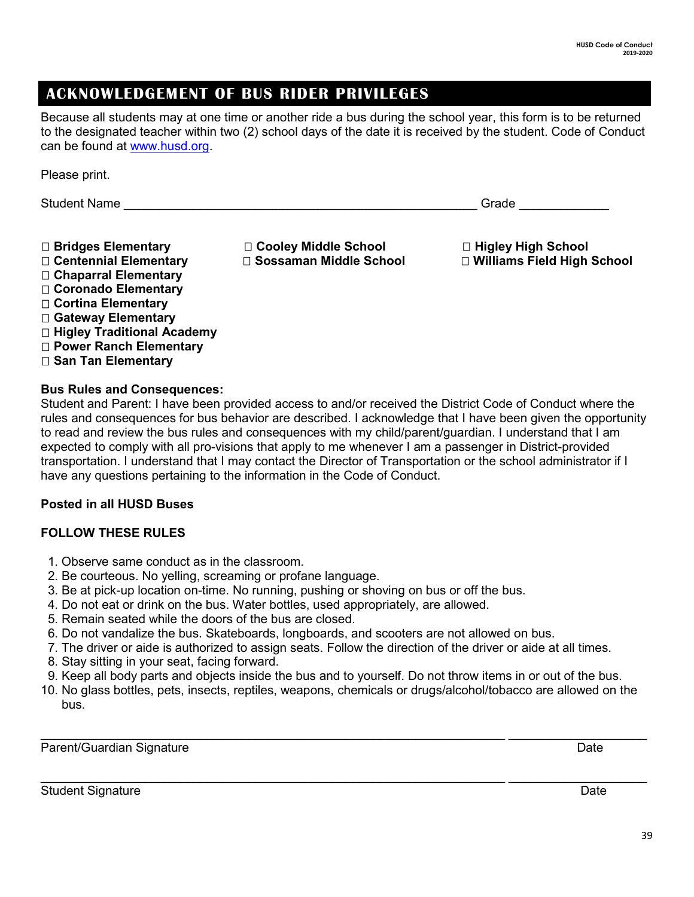### **ACKNOWLEDGEMENT OF BUS RIDER PRIVILEGES**

Because all students may at one time or another ride a bus during the school year, this form is to be returned to the designated teacher within two (2) school days of the date it is received by the student. Code of Conduct can be found at [www.husd.org.](http://www.husd.org/)

Please print.

| <b>Student Name</b> | ◝⊶⊸ |  |
|---------------------|-----|--|
|                     |     |  |

 **Centennial Elementary Sossaman Middle School Williams Field High School Chaparral Elementary Coronado Elementary Cortina Elementary Gateway Elementary Higley Traditional Academy Power Ranch Elementary San Tan Elementary**

**Bridges Elementary Cooley Middle School Higley High School**

### **Bus Rules and Consequences:**

Student and Parent: I have been provided access to and/or received the District Code of Conduct where the rules and consequences for bus behavior are described. I acknowledge that I have been given the opportunity to read and review the bus rules and consequences with my child/parent/guardian. I understand that I am expected to comply with all pro-visions that apply to me whenever I am a passenger in District-provided transportation. I understand that I may contact the Director of Transportation or the school administrator if I have any questions pertaining to the information in the Code of Conduct.

### **Posted in all HUSD Buses**

### **FOLLOW THESE RULES**

- 1. Observe same conduct as in the classroom.
- 2. Be courteous. No yelling, screaming or profane language.
- 3. Be at pick-up location on-time. No running, pushing or shoving on bus or off the bus.
- 4. Do not eat or drink on the bus. Water bottles, used appropriately, are allowed.
- 5. Remain seated while the doors of the bus are closed.
- 6. Do not vandalize the bus. Skateboards, longboards, and scooters are not allowed on bus.
- 7. The driver or aide is authorized to assign seats. Follow the direction of the driver or aide at all times.
- 8. Stay sitting in your seat, facing forward.
- 9. Keep all body parts and objects inside the bus and to yourself. Do not throw items in or out of the bus.
- 10. No glass bottles, pets, insects, reptiles, weapons, chemicals or drugs/alcohol/tobacco are allowed on the bus.

Parent/Guardian Signature Date Date Communication of the Date Date Date

\_\_\_\_\_\_\_\_\_\_\_\_\_\_\_\_\_\_\_\_\_\_\_\_\_\_\_\_\_\_\_\_\_\_\_\_\_\_\_\_\_\_\_\_\_\_\_\_\_\_\_\_\_\_\_\_\_\_\_\_\_\_\_\_\_\_\_ \_\_\_\_\_\_\_\_\_\_\_\_\_\_\_\_\_\_\_\_

\_\_\_\_\_\_\_\_\_\_\_\_\_\_\_\_\_\_\_\_\_\_\_\_\_\_\_\_\_\_\_\_\_\_\_\_\_\_\_\_\_\_\_\_\_\_\_\_\_\_\_\_\_\_\_\_\_\_\_\_\_\_\_\_\_\_\_ \_\_\_\_\_\_\_\_\_\_\_\_\_\_\_\_\_\_\_\_ Student Signature Date Date Controllers and the Date Date Date Date Date Date Date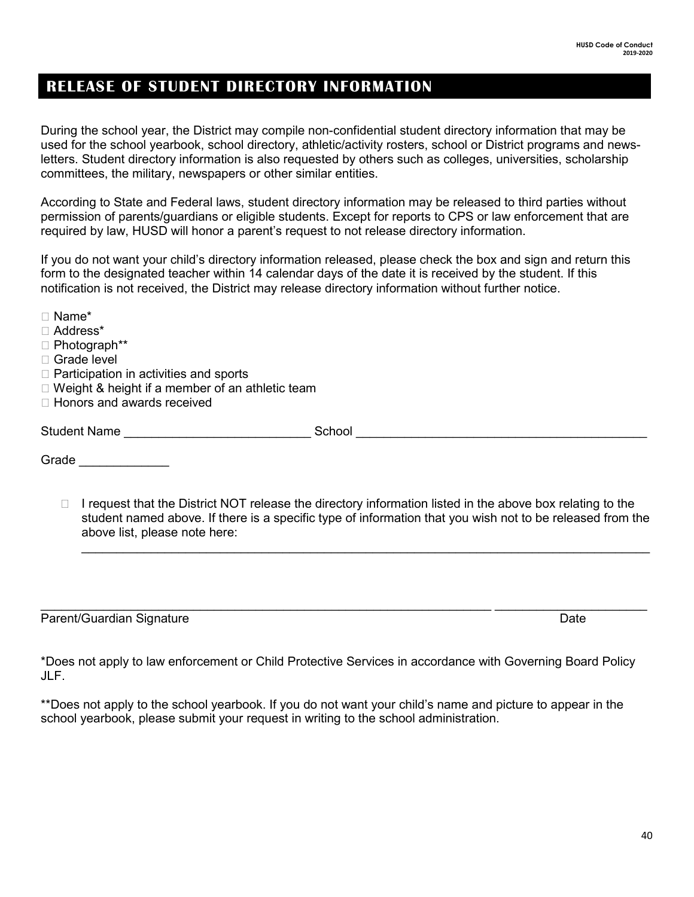### **RELEASE OF STUDENT DIRECTORY INFORMATION**

During the school year, the District may compile non-confidential student directory information that may be used for the school yearbook, school directory, athletic/activity rosters, school or District programs and newsletters. Student directory information is also requested by others such as colleges, universities, scholarship committees, the military, newspapers or other similar entities.

According to State and Federal laws, student directory information may be released to third parties without permission of parents/guardians or eligible students. Except for reports to CPS or law enforcement that are required by law, HUSD will honor a parent's request to not release directory information.

If you do not want your child's directory information released, please check the box and sign and return this form to the designated teacher within 14 calendar days of the date it is received by the student. If this notification is not received, the District may release directory information without further notice.

| $\Box$ Name*                                      |        |  |  |  |
|---------------------------------------------------|--------|--|--|--|
| □ Address*                                        |        |  |  |  |
| $\Box$ Photograph**                               |        |  |  |  |
| □ Grade level                                     |        |  |  |  |
| $\Box$ Participation in activities and sports     |        |  |  |  |
| □ Weight & height if a member of an athletic team |        |  |  |  |
| $\Box$ Honors and awards received                 |        |  |  |  |
| <b>Student Name</b>                               | School |  |  |  |
|                                                   |        |  |  |  |

Grade \_\_\_\_\_\_\_\_\_\_\_\_\_

 $\Box$  I request that the District NOT release the directory information listed in the above box relating to the student named above. If there is a specific type of information that you wish not to be released from the above list, please note here:

 $\_$  , and the set of the set of the set of the set of the set of the set of the set of the set of the set of the set of the set of the set of the set of the set of the set of the set of the set of the set of the set of th

Parent/Guardian Signature Date

\*Does not apply to law enforcement or Child Protective Services in accordance with Governing Board Policy JLF.

 $\_$  , and the set of the set of the set of the set of the set of the set of the set of the set of the set of the set of the set of the set of the set of the set of the set of the set of the set of the set of the set of th

\*\*Does not apply to the school yearbook. If you do not want your child's name and picture to appear in the school yearbook, please submit your request in writing to the school administration.